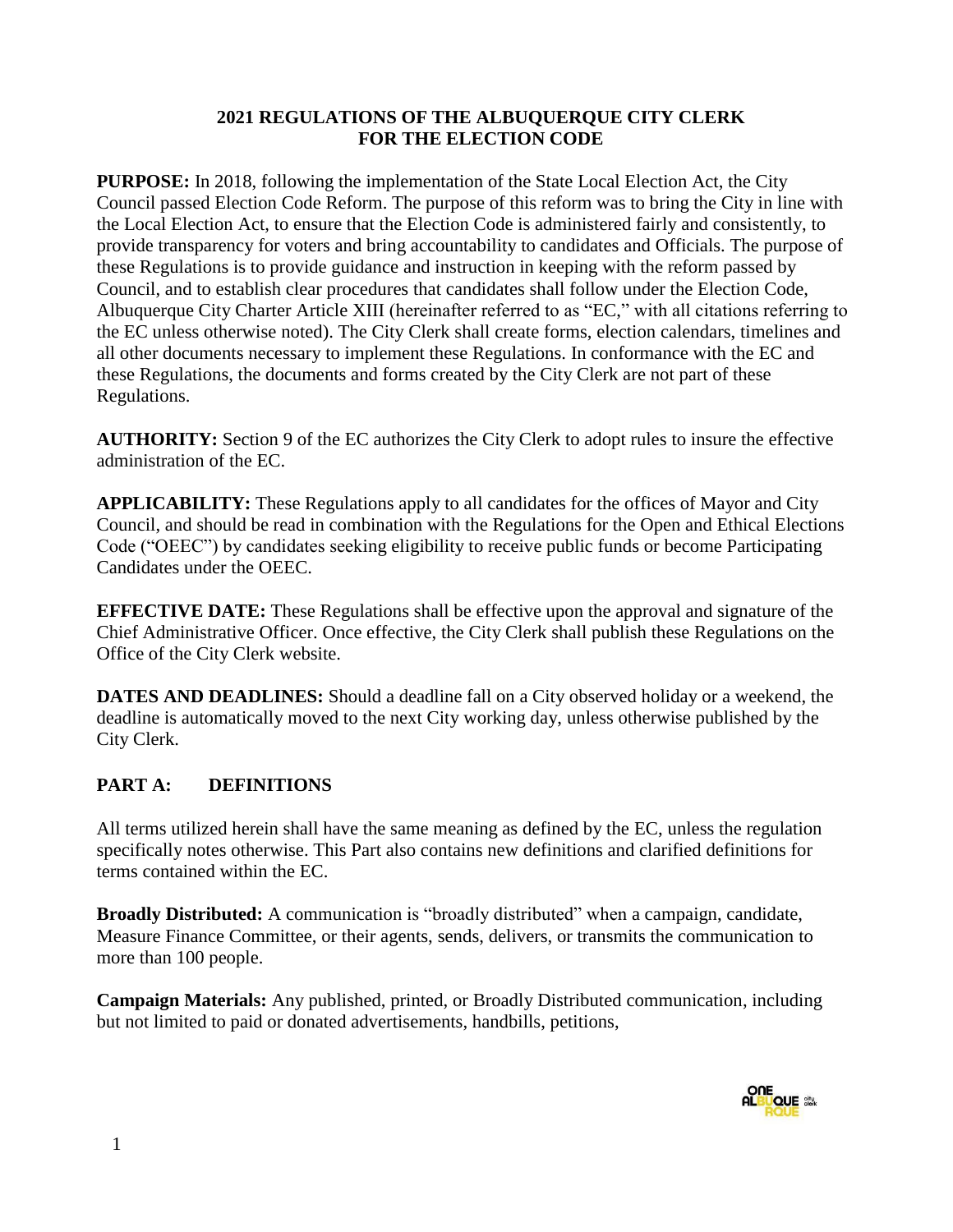#### **2021 REGULATIONS OF THE ALBUQUERQUE CITY CLERK FOR THE ELECTION CODE**

**PURPOSE:** In 2018, following the implementation of the State Local Election Act, the City Council passed Election Code Reform. The purpose of this reform was to bring the City in line with the Local Election Act, to ensure that the Election Code is administered fairly and consistently, to provide transparency for voters and bring accountability to candidates and Officials. The purpose of these Regulations is to provide guidance and instruction in keeping with the reform passed by Council, and to establish clear procedures that candidates shall follow under the Election Code, Albuquerque City Charter Article XIII (hereinafter referred to as "EC," with all citations referring to the EC unless otherwise noted). The City Clerk shall create forms, election calendars, timelines and all other documents necessary to implement these Regulations. In conformance with the EC and these Regulations, the documents and forms created by the City Clerk are not part of these Regulations.

**AUTHORITY:** Section 9 of the EC authorizes the City Clerk to adopt rules to insure the effective administration of the EC.

**APPLICABILITY:** These Regulations apply to all candidates for the offices of Mayor and City Council, and should be read in combination with the Regulations for the Open and Ethical Elections Code ("OEEC") by candidates seeking eligibility to receive public funds or become Participating Candidates under the OEEC.

**EFFECTIVE DATE:** These Regulations shall be effective upon the approval and signature of the Chief Administrative Officer. Once effective, the City Clerk shall publish these Regulations on the Office of the City Clerk website.

**DATES AND DEADLINES:** Should a deadline fall on a City observed holiday or a weekend, the deadline is automatically moved to the next City working day, unless otherwise published by the City Clerk.

# **PART A: DEFINITIONS**

All terms utilized herein shall have the same meaning as defined by the EC, unless the regulation specifically notes otherwise. This Part also contains new definitions and clarified definitions for terms contained within the EC.

**Broadly Distributed:** A communication is "broadly distributed" when a campaign, candidate, Measure Finance Committee, or their agents, sends, delivers, or transmits the communication to more than 100 people.

**Campaign Materials:** Any published, printed, or Broadly Distributed communication, including but not limited to paid or donated advertisements, handbills, petitions,

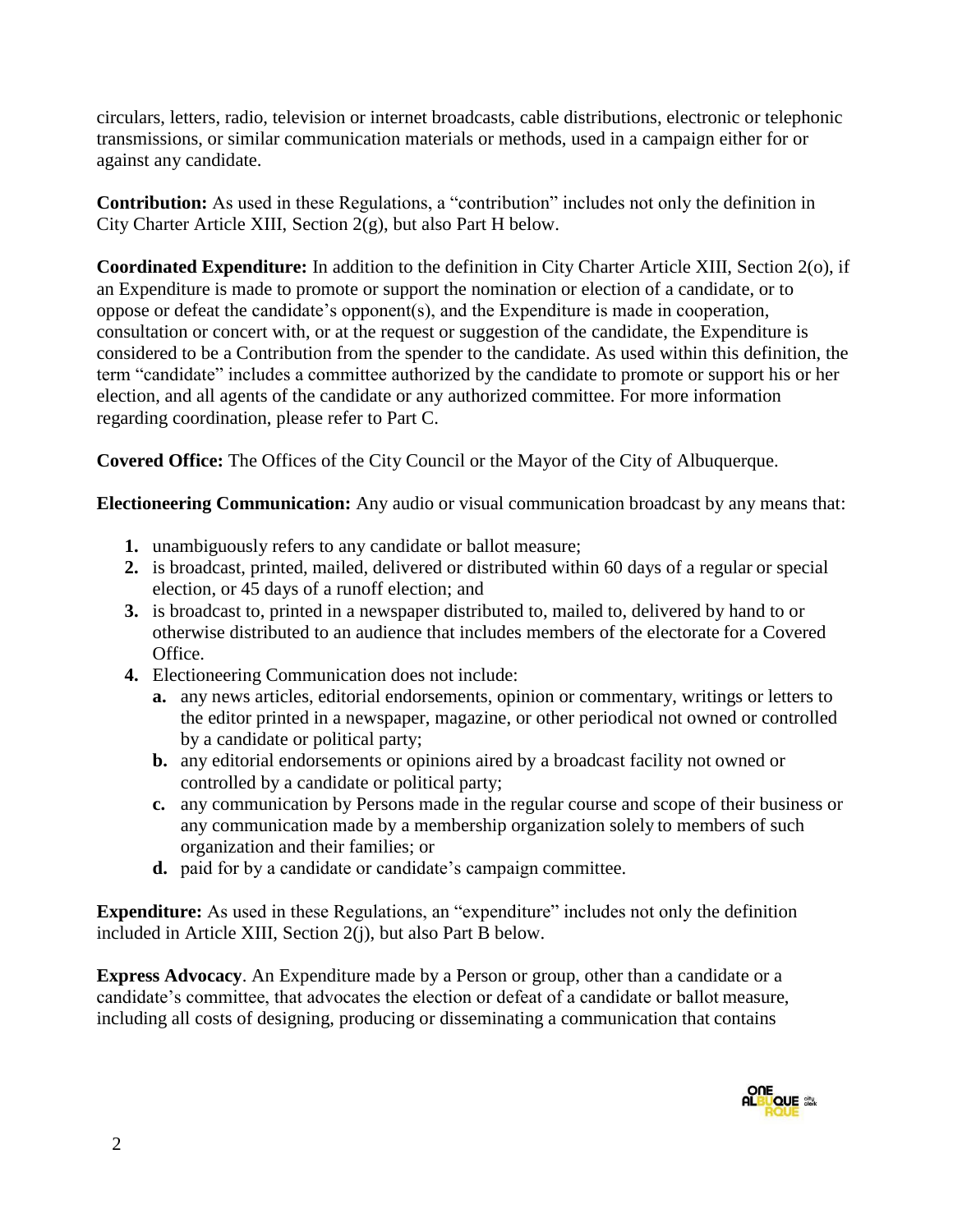circulars, letters, radio, television or internet broadcasts, cable distributions, electronic or telephonic transmissions, or similar communication materials or methods, used in a campaign either for or against any candidate.

**Contribution:** As used in these Regulations, a "contribution" includes not only the definition in City Charter Article XIII, Section 2(g), but also Part H below.

**Coordinated Expenditure:** In addition to the definition in City Charter Article XIII, Section 2(o), if an Expenditure is made to promote or support the nomination or election of a candidate, or to oppose or defeat the candidate's opponent(s), and the Expenditure is made in cooperation, consultation or concert with, or at the request or suggestion of the candidate, the Expenditure is considered to be a Contribution from the spender to the candidate. As used within this definition, the term "candidate" includes a committee authorized by the candidate to promote or support his or her election, and all agents of the candidate or any authorized committee. For more information regarding coordination, please refer to Part C.

**Covered Office:** The Offices of the City Council or the Mayor of the City of Albuquerque.

**Electioneering Communication:** Any audio or visual communication broadcast by any means that:

- **1.** unambiguously refers to any candidate or ballot measure;
- **2.** is broadcast, printed, mailed, delivered or distributed within 60 days of a regular or special election, or 45 days of a runoff election; and
- **3.** is broadcast to, printed in a newspaper distributed to, mailed to, delivered by hand to or otherwise distributed to an audience that includes members of the electorate for a Covered Office.
- **4.** Electioneering Communication does not include:
	- **a.** any news articles, editorial endorsements, opinion or commentary, writings or letters to the editor printed in a newspaper, magazine, or other periodical not owned or controlled by a candidate or political party;
	- **b.** any editorial endorsements or opinions aired by a broadcast facility not owned or controlled by a candidate or political party;
	- **c.** any communication by Persons made in the regular course and scope of their business or any communication made by a membership organization solely to members of such organization and their families; or
	- **d.** paid for by a candidate or candidate's campaign committee.

**Expenditure:** As used in these Regulations, an "expenditure" includes not only the definition included in Article XIII, Section 2(j), but also Part B below.

**Express Advocacy**. An Expenditure made by a Person or group, other than a candidate or a candidate's committee, that advocates the election or defeat of a candidate or ballot measure, including all costs of designing, producing or disseminating a communication that contains

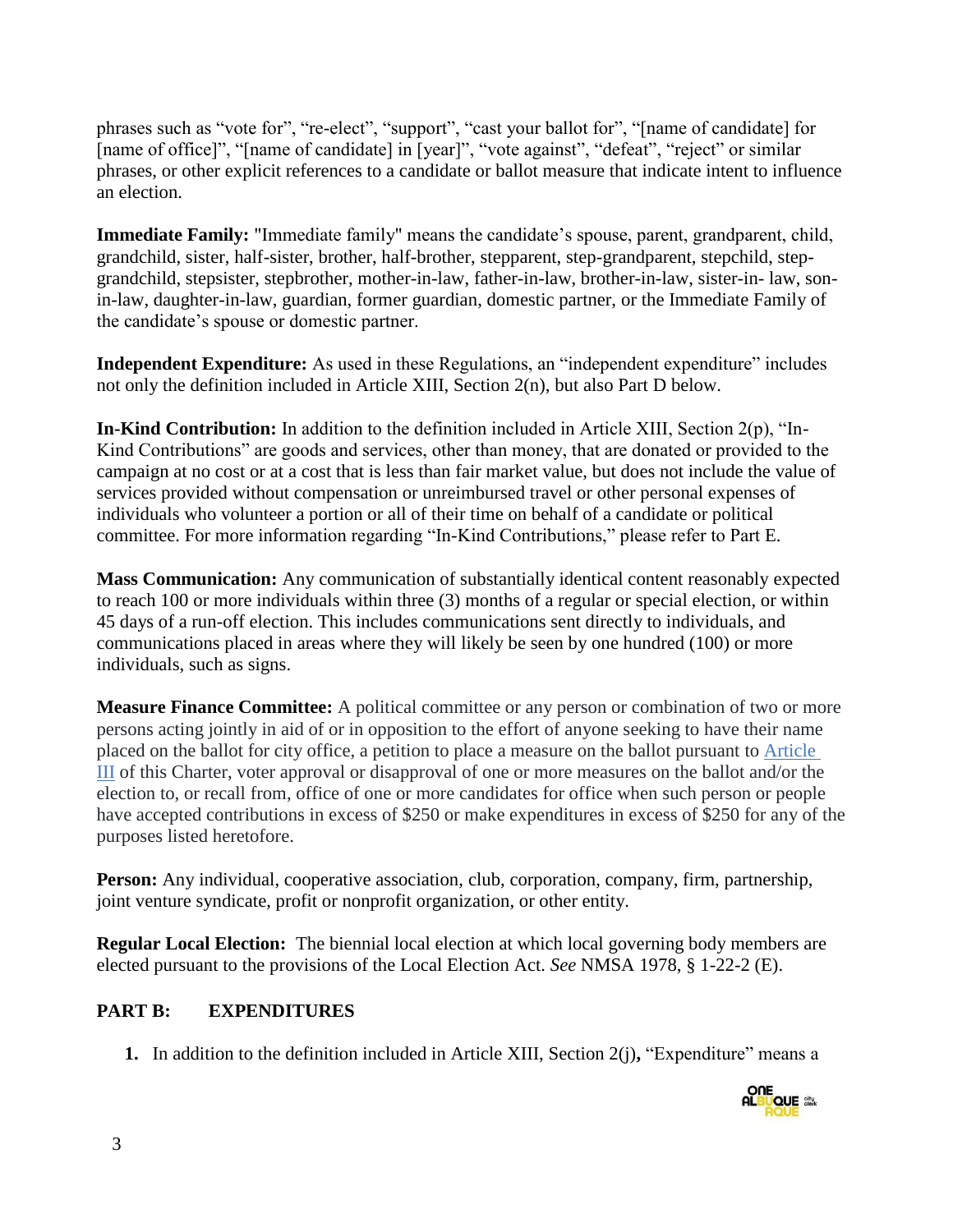phrases such as "vote for", "re-elect", "support", "cast your ballot for", "[name of candidate] for [name of office]", "[name of candidate] in [year]", "vote against", "defeat", "reject" or similar phrases, or other explicit references to a candidate or ballot measure that indicate intent to influence an election.

**Immediate Family:** "Immediate family" means the candidate's spouse, parent, grandparent, child, grandchild, sister, half-sister, brother, half-brother, stepparent, step-grandparent, stepchild, stepgrandchild, stepsister, stepbrother, mother-in-law, father-in-law, brother-in-law, sister-in- law, sonin-law, daughter-in-law, guardian, former guardian, domestic partner, or the Immediate Family of the candidate's spouse or domestic partner.

**Independent Expenditure:** As used in these Regulations, an "independent expenditure" includes not only the definition included in Article XIII, Section 2(n), but also Part D below.

**In-Kind Contribution:** In addition to the definition included in Article XIII, Section 2(p), "In-Kind Contributions" are goods and services, other than money, that are donated or provided to the campaign at no cost or at a cost that is less than fair market value, but does not include the value of services provided without compensation or unreimbursed travel or other personal expenses of individuals who volunteer a portion or all of their time on behalf of a candidate or political committee. For more information regarding "In-Kind Contributions," please refer to Part E.

**Mass Communication:** Any communication of substantially identical content reasonably expected to reach 100 or more individuals within three (3) months of a regular or special election, or within 45 days of a run-off election. This includes communications sent directly to individuals, and communications placed in areas where they will likely be seen by one hundred (100) or more individuals, such as signs.

**Measure Finance Committee:** A political committee or any person or combination of two or more persons acting jointly in aid of or in opposition to the effort of anyone seeking to have their name placed on the ballot for city office, a petition to place a measure on the ballot pursuant to [Article](https://codelibrary.amlegal.com/codes/albuquerque/latest/albuquerque_nm/0-0-0-47#JD_CharterArticleIII)  [III](https://codelibrary.amlegal.com/codes/albuquerque/latest/albuquerque_nm/0-0-0-47#JD_CharterArticleIII) of this Charter, voter approval or disapproval of one or more measures on the ballot and/or the election to, or recall from, office of one or more candidates for office when such person or people have accepted contributions in excess of \$250 or make expenditures in excess of \$250 for any of the purposes listed heretofore.

**Person:** Any individual, cooperative association, club, corporation, company, firm, partnership, joint venture syndicate, profit or nonprofit organization, or other entity.

**Regular Local Election:** The biennial local election at which local governing body members are elected pursuant to the provisions of the Local Election Act. *See* NMSA 1978, § 1-22-2 (E).

#### **PART B: EXPENDITURES**

**1.** In addition to the definition included in Article XIII, Section 2(j)**,** "Expenditure" means a

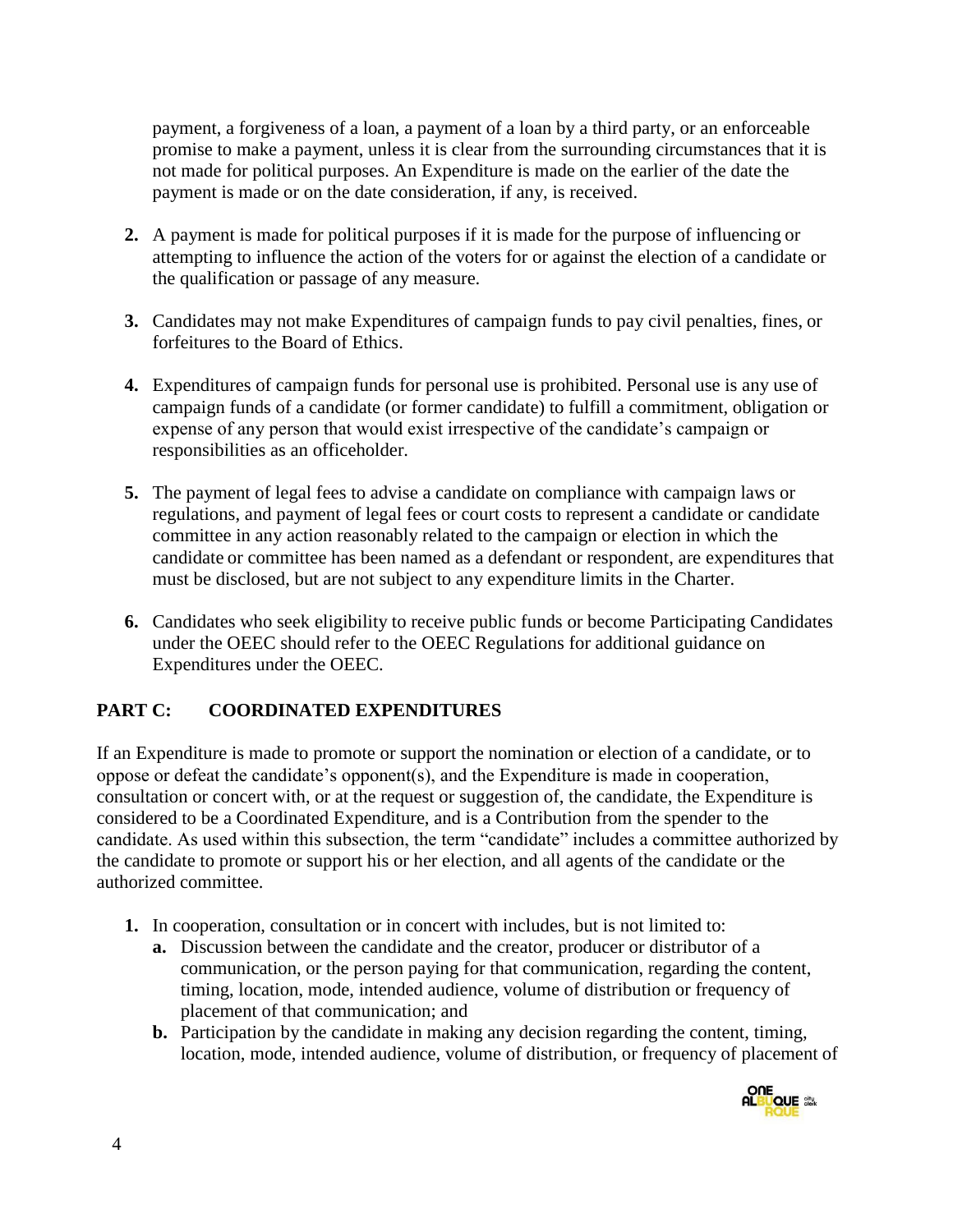payment, a forgiveness of a loan, a payment of a loan by a third party, or an enforceable promise to make a payment, unless it is clear from the surrounding circumstances that it is not made for political purposes. An Expenditure is made on the earlier of the date the payment is made or on the date consideration, if any, is received.

- **2.** A payment is made for political purposes if it is made for the purpose of influencing or attempting to influence the action of the voters for or against the election of a candidate or the qualification or passage of any measure.
- **3.** Candidates may not make Expenditures of campaign funds to pay civil penalties, fines, or forfeitures to the Board of Ethics.
- **4.** Expenditures of campaign funds for personal use is prohibited. Personal use is any use of campaign funds of a candidate (or former candidate) to fulfill a commitment, obligation or expense of any person that would exist irrespective of the candidate's campaign or responsibilities as an officeholder.
- **5.** The payment of legal fees to advise a candidate on compliance with campaign laws or regulations, and payment of legal fees or court costs to represent a candidate or candidate committee in any action reasonably related to the campaign or election in which the candidate or committee has been named as a defendant or respondent, are expenditures that must be disclosed, but are not subject to any expenditure limits in the Charter.
- **6.** Candidates who seek eligibility to receive public funds or become Participating Candidates under the OEEC should refer to the OEEC Regulations for additional guidance on Expenditures under the OEEC.

# **PART C: COORDINATED EXPENDITURES**

If an Expenditure is made to promote or support the nomination or election of a candidate, or to oppose or defeat the candidate's opponent(s), and the Expenditure is made in cooperation, consultation or concert with, or at the request or suggestion of, the candidate, the Expenditure is considered to be a Coordinated Expenditure, and is a Contribution from the spender to the candidate. As used within this subsection, the term "candidate" includes a committee authorized by the candidate to promote or support his or her election, and all agents of the candidate or the authorized committee.

- **1.** In cooperation, consultation or in concert with includes, but is not limited to:
	- **a.** Discussion between the candidate and the creator, producer or distributor of a communication, or the person paying for that communication, regarding the content, timing, location, mode, intended audience, volume of distribution or frequency of placement of that communication; and
	- **b.** Participation by the candidate in making any decision regarding the content, timing, location, mode, intended audience, volume of distribution, or frequency of placement of

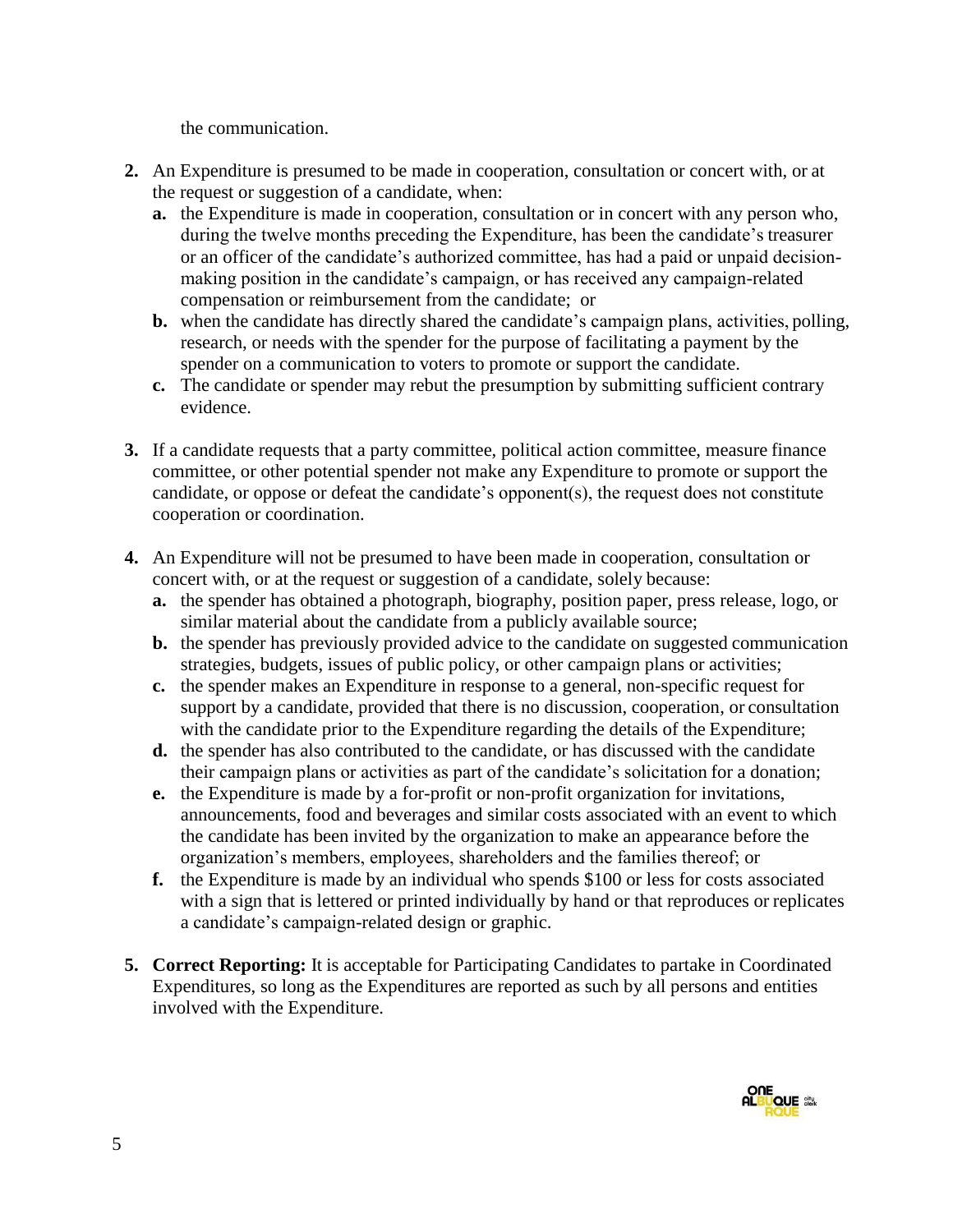the communication.

- **2.** An Expenditure is presumed to be made in cooperation, consultation or concert with, or at the request or suggestion of a candidate, when:
	- **a.** the Expenditure is made in cooperation, consultation or in concert with any person who, during the twelve months preceding the Expenditure, has been the candidate's treasurer or an officer of the candidate's authorized committee, has had a paid or unpaid decisionmaking position in the candidate's campaign, or has received any campaign-related compensation or reimbursement from the candidate; or
	- **b.** when the candidate has directly shared the candidate's campaign plans, activities, polling, research, or needs with the spender for the purpose of facilitating a payment by the spender on a communication to voters to promote or support the candidate.
	- **c.** The candidate or spender may rebut the presumption by submitting sufficient contrary evidence.
- **3.** If a candidate requests that a party committee, political action committee, measure finance committee, or other potential spender not make any Expenditure to promote or support the candidate, or oppose or defeat the candidate's opponent(s), the request does not constitute cooperation or coordination.
- **4.** An Expenditure will not be presumed to have been made in cooperation, consultation or concert with, or at the request or suggestion of a candidate, solely because:
	- **a.** the spender has obtained a photograph, biography, position paper, press release, logo, or similar material about the candidate from a publicly available source;
	- **b.** the spender has previously provided advice to the candidate on suggested communication strategies, budgets, issues of public policy, or other campaign plans or activities;
	- **c.** the spender makes an Expenditure in response to a general, non-specific request for support by a candidate, provided that there is no discussion, cooperation, or consultation with the candidate prior to the Expenditure regarding the details of the Expenditure;
	- **d.** the spender has also contributed to the candidate, or has discussed with the candidate their campaign plans or activities as part of the candidate's solicitation for a donation;
	- **e.** the Expenditure is made by a for-profit or non-profit organization for invitations, announcements, food and beverages and similar costs associated with an event to which the candidate has been invited by the organization to make an appearance before the organization's members, employees, shareholders and the families thereof; or
	- **f.** the Expenditure is made by an individual who spends \$100 or less for costs associated with a sign that is lettered or printed individually by hand or that reproduces or replicates a candidate's campaign-related design or graphic.
- **5. Correct Reporting:** It is acceptable for Participating Candidates to partake in Coordinated Expenditures, so long as the Expenditures are reported as such by all persons and entities involved with the Expenditure.

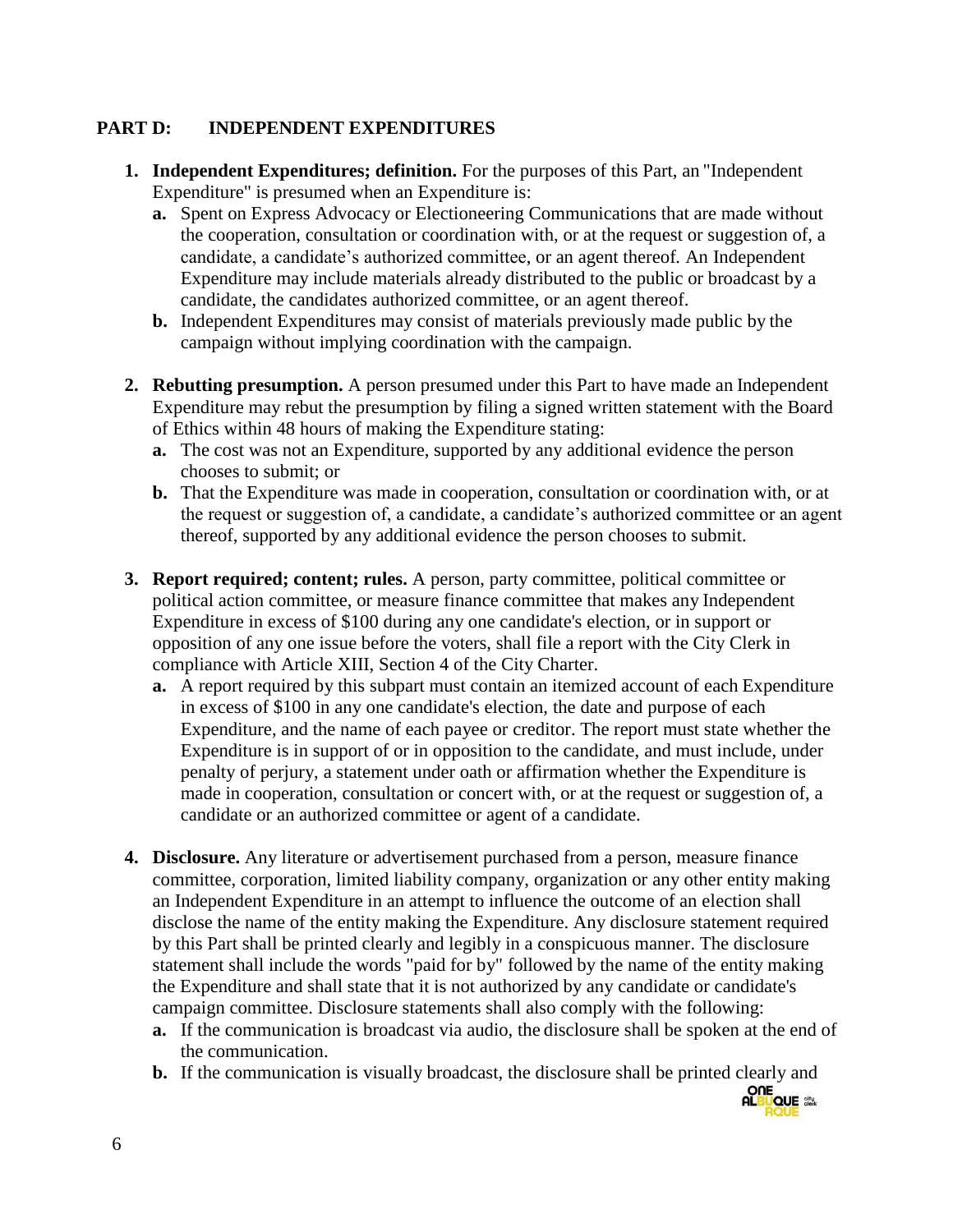#### **PART D: INDEPENDENT EXPENDITURES**

- **1. Independent Expenditures; definition.** For the purposes of this Part, an "Independent Expenditure" is presumed when an Expenditure is:
	- **a.** Spent on Express Advocacy or Electioneering Communications that are made without the cooperation, consultation or coordination with, or at the request or suggestion of, a candidate, a candidate's authorized committee, or an agent thereof*.* An Independent Expenditure may include materials already distributed to the public or broadcast by a candidate, the candidates authorized committee, or an agent thereof.
	- **b.** Independent Expenditures may consist of materials previously made public by the campaign without implying coordination with the campaign.
- **2. Rebutting presumption.** A person presumed under this Part to have made an Independent Expenditure may rebut the presumption by filing a signed written statement with the Board of Ethics within 48 hours of making the Expenditure stating:
	- **a.** The cost was not an Expenditure, supported by any additional evidence the person chooses to submit; or
	- **b.** That the Expenditure was made in cooperation, consultation or coordination with, or at the request or suggestion of, a candidate, a candidate's authorized committee or an agent thereof, supported by any additional evidence the person chooses to submit.
- **3. Report required; content; rules.** A person, party committee, political committee or political action committee, or measure finance committee that makes any Independent Expenditure in excess of \$100 during any one candidate's election, or in support or opposition of any one issue before the voters, shall file a report with the City Clerk in compliance with Article XIII, Section 4 of the City Charter.
	- **a.** A report required by this subpart must contain an itemized account of each Expenditure in excess of \$100 in any one candidate's election, the date and purpose of each Expenditure, and the name of each payee or creditor. The report must state whether the Expenditure is in support of or in opposition to the candidate, and must include, under penalty of perjury, a statement under oath or affirmation whether the Expenditure is made in cooperation, consultation or concert with, or at the request or suggestion of, a candidate or an authorized committee or agent of a candidate.
- **4. Disclosure.** Any literature or advertisement purchased from a person, measure finance committee, corporation, limited liability company, organization or any other entity making an Independent Expenditure in an attempt to influence the outcome of an election shall disclose the name of the entity making the Expenditure. Any disclosure statement required by this Part shall be printed clearly and legibly in a conspicuous manner. The disclosure statement shall include the words "paid for by" followed by the name of the entity making the Expenditure and shall state that it is not authorized by any candidate or candidate's campaign committee. Disclosure statements shall also comply with the following:
	- **a.** If the communication is broadcast via audio, the disclosure shall be spoken at the end of the communication.
	- **b.** If the communication is visually broadcast, the disclosure shall be printed clearly and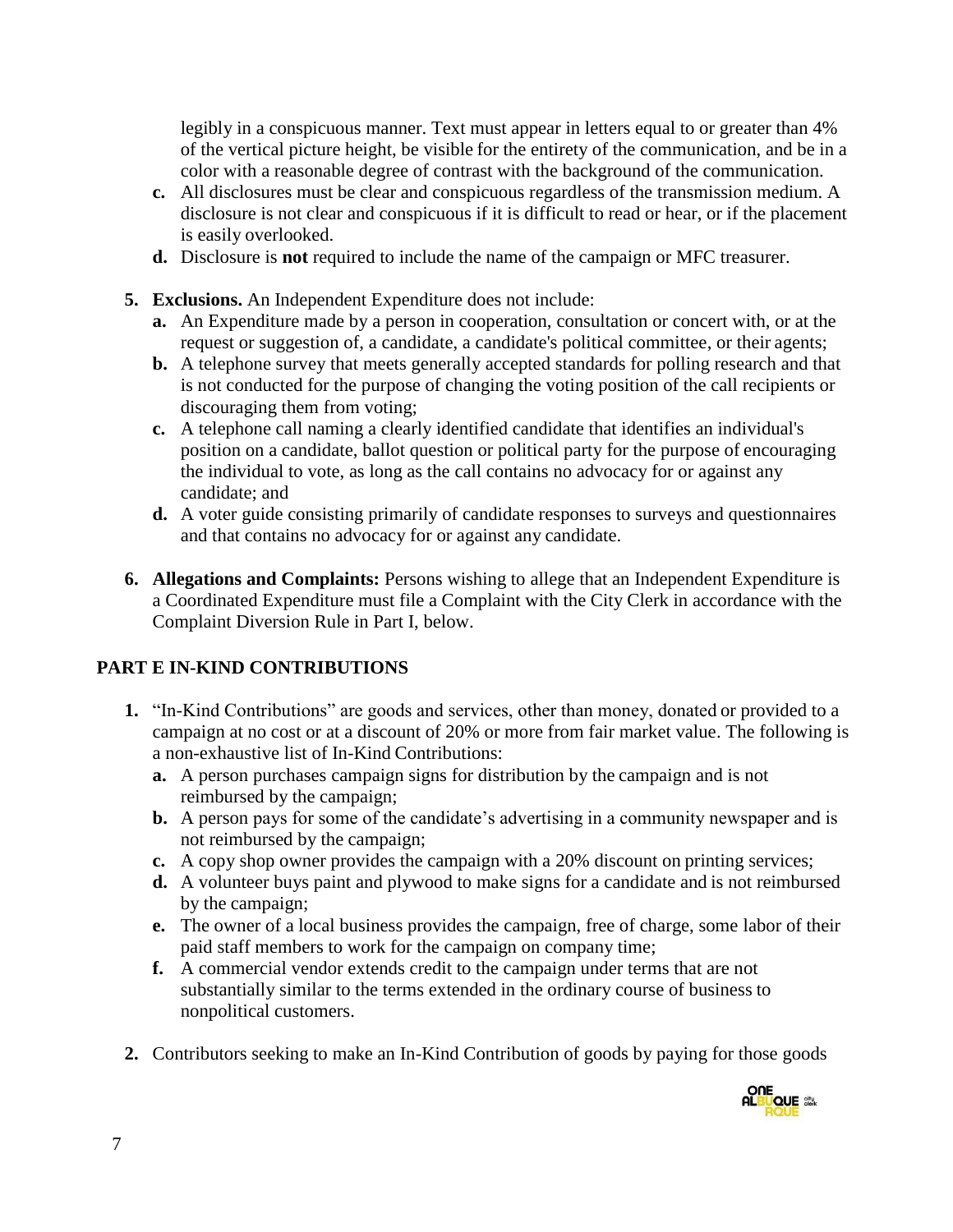legibly in a conspicuous manner. Text must appear in letters equal to or greater than 4% of the vertical picture height, be visible for the entirety of the communication, and be in a color with a reasonable degree of contrast with the background of the communication.

- **c.** All disclosures must be clear and conspicuous regardless of the transmission medium. A disclosure is not clear and conspicuous if it is difficult to read or hear, or if the placement is easily overlooked.
- **d.** Disclosure is **not** required to include the name of the campaign or MFC treasurer.
- **5. Exclusions.** An Independent Expenditure does not include:
	- **a.** An Expenditure made by a person in cooperation, consultation or concert with, or at the request or suggestion of, a candidate, a candidate's political committee, or their agents;
	- **b.** A telephone survey that meets generally accepted standards for polling research and that is not conducted for the purpose of changing the voting position of the call recipients or discouraging them from voting;
	- **c.** A telephone call naming a clearly identified candidate that identifies an individual's position on a candidate, ballot question or political party for the purpose of encouraging the individual to vote, as long as the call contains no advocacy for or against any candidate; and
	- **d.** A voter guide consisting primarily of candidate responses to surveys and questionnaires and that contains no advocacy for or against any candidate.
- **6. Allegations and Complaints:** Persons wishing to allege that an Independent Expenditure is a Coordinated Expenditure must file a Complaint with the City Clerk in accordance with the Complaint Diversion Rule in Part I, below.

# **PART E IN-KIND CONTRIBUTIONS**

- **1.** "In-Kind Contributions" are goods and services, other than money, donated or provided to a campaign at no cost or at a discount of 20% or more from fair market value. The following is a non-exhaustive list of In-Kind Contributions:
	- **a.** A person purchases campaign signs for distribution by the campaign and is not reimbursed by the campaign;
	- **b.** A person pays for some of the candidate's advertising in a community newspaper and is not reimbursed by the campaign;
	- **c.** A copy shop owner provides the campaign with a 20% discount on printing services;
	- **d.** A volunteer buys paint and plywood to make signs for a candidate and is not reimbursed by the campaign;
	- **e.** The owner of a local business provides the campaign, free of charge, some labor of their paid staff members to work for the campaign on company time;
	- **f.** A commercial vendor extends credit to the campaign under terms that are not substantially similar to the terms extended in the ordinary course of business to nonpolitical customers.
- **2.** Contributors seeking to make an In-Kind Contribution of goods by paying for those goods

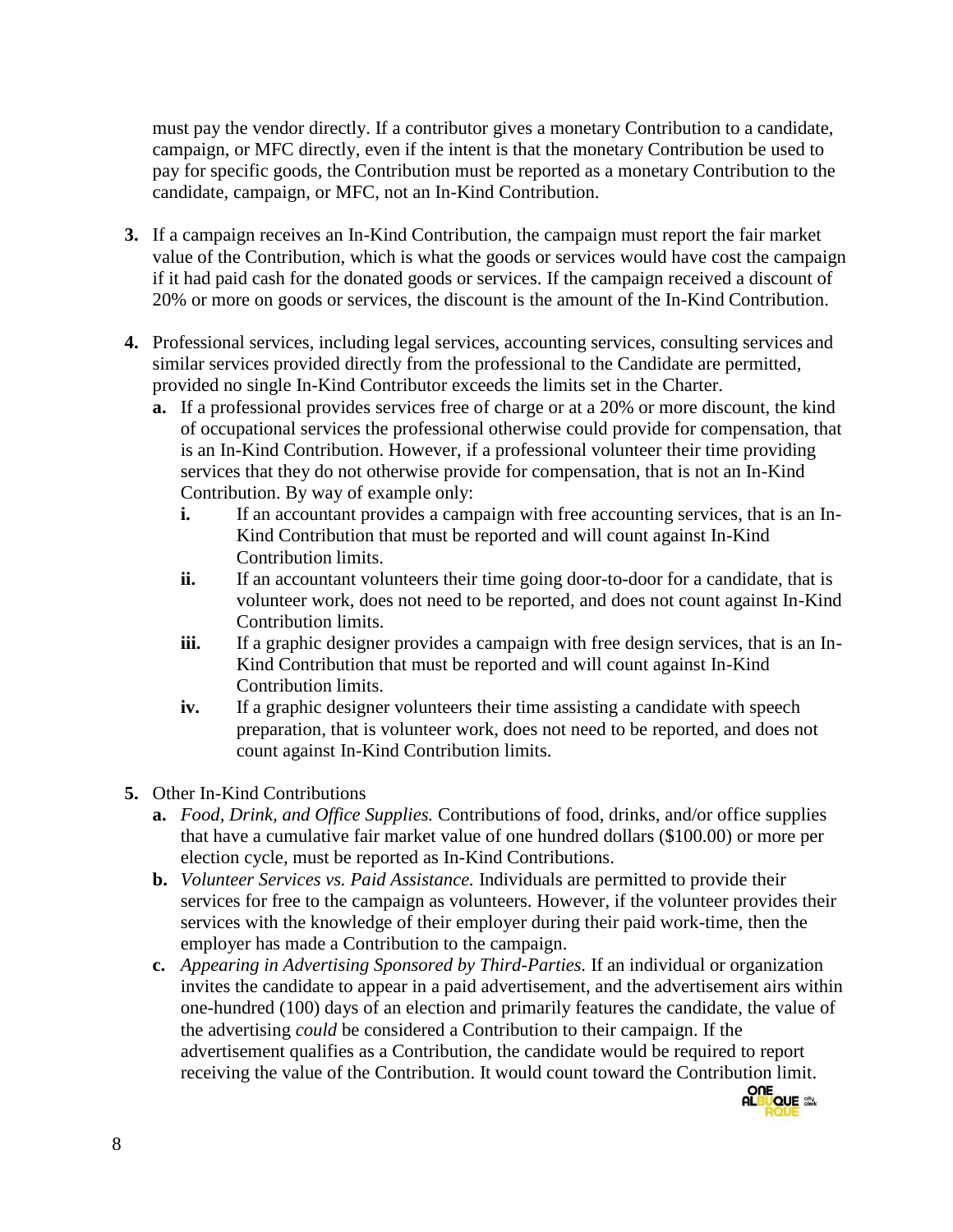must pay the vendor directly. If a contributor gives a monetary Contribution to a candidate, campaign, or MFC directly, even if the intent is that the monetary Contribution be used to pay for specific goods, the Contribution must be reported as a monetary Contribution to the candidate, campaign, or MFC, not an In-Kind Contribution.

- **3.** If a campaign receives an In-Kind Contribution, the campaign must report the fair market value of the Contribution, which is what the goods or services would have cost the campaign if it had paid cash for the donated goods or services. If the campaign received a discount of 20% or more on goods or services, the discount is the amount of the In-Kind Contribution.
- **4.** Professional services, including legal services, accounting services, consulting services and similar services provided directly from the professional to the Candidate are permitted, provided no single In-Kind Contributor exceeds the limits set in the Charter.
	- **a.** If a professional provides services free of charge or at a 20% or more discount, the kind of occupational services the professional otherwise could provide for compensation, that is an In-Kind Contribution. However, if a professional volunteer their time providing services that they do not otherwise provide for compensation, that is not an In-Kind Contribution. By way of example only:
		- **i.** If an accountant provides a campaign with free accounting services, that is an In-Kind Contribution that must be reported and will count against In-Kind Contribution limits.
		- **ii.** If an accountant volunteers their time going door-to-door for a candidate, that is volunteer work, does not need to be reported, and does not count against In-Kind Contribution limits.
		- **iii.** If a graphic designer provides a campaign with free design services, that is an In-Kind Contribution that must be reported and will count against In-Kind Contribution limits.
		- **iv.** If a graphic designer volunteers their time assisting a candidate with speech preparation, that is volunteer work, does not need to be reported, and does not count against In-Kind Contribution limits.
- **5.** Other In-Kind Contributions
	- **a.** *Food, Drink, and Office Supplies.* Contributions of food, drinks, and/or office supplies that have a cumulative fair market value of one hundred dollars (\$100.00) or more per election cycle, must be reported as In-Kind Contributions.
	- **b.** *Volunteer Services vs. Paid Assistance.* Individuals are permitted to provide their services for free to the campaign as volunteers. However, if the volunteer provides their services with the knowledge of their employer during their paid work-time, then the employer has made a Contribution to the campaign.
	- **c.** *Appearing in Advertising Sponsored by Third-Parties.* If an individual or organization invites the candidate to appear in a paid advertisement, and the advertisement airs within one-hundred (100) days of an election and primarily features the candidate, the value of the advertising *could* be considered a Contribution to their campaign. If the advertisement qualifies as a Contribution, the candidate would be required to report receiving the value of the Contribution. It would count toward the Contribution limit.

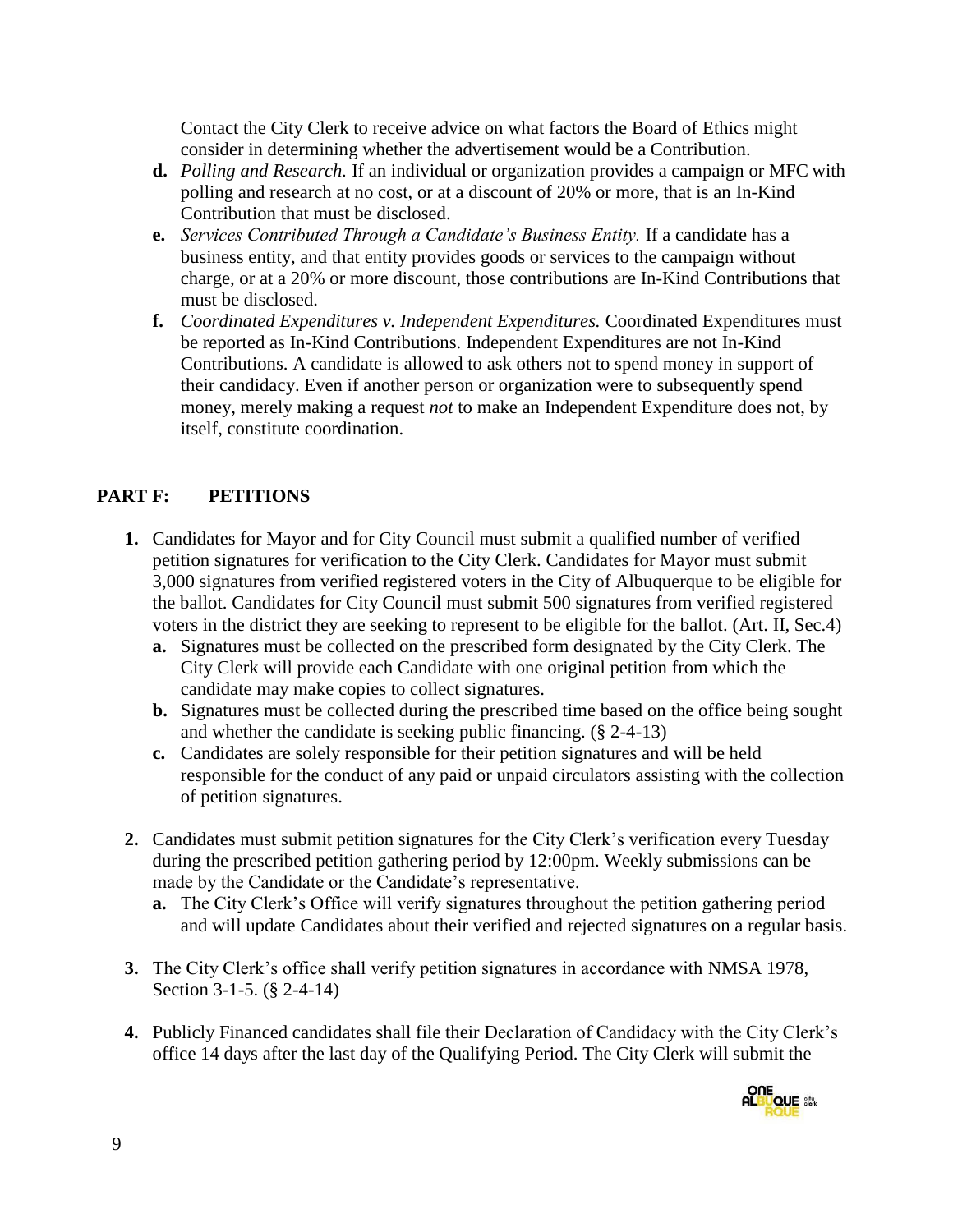Contact the City Clerk to receive advice on what factors the Board of Ethics might consider in determining whether the advertisement would be a Contribution.

- **d.** *Polling and Research.* If an individual or organization provides a campaign or MFC with polling and research at no cost, or at a discount of 20% or more, that is an In-Kind Contribution that must be disclosed.
- **e.** *Services Contributed Through a Candidate's Business Entity.* If a candidate has a business entity, and that entity provides goods or services to the campaign without charge, or at a 20% or more discount, those contributions are In-Kind Contributions that must be disclosed.
- **f.** *Coordinated Expenditures v. Independent Expenditures.* Coordinated Expenditures must be reported as In-Kind Contributions. Independent Expenditures are not In-Kind Contributions. A candidate is allowed to ask others not to spend money in support of their candidacy. Even if another person or organization were to subsequently spend money, merely making a request *not* to make an Independent Expenditure does not, by itself, constitute coordination.

# **PART F: PETITIONS**

- **1.** Candidates for Mayor and for City Council must submit a qualified number of verified petition signatures for verification to the City Clerk. Candidates for Mayor must submit 3,000 signatures from verified registered voters in the City of Albuquerque to be eligible for the ballot. Candidates for City Council must submit 500 signatures from verified registered voters in the district they are seeking to represent to be eligible for the ballot. (Art. II, Sec.4)
	- **a.** Signatures must be collected on the prescribed form designated by the City Clerk. The City Clerk will provide each Candidate with one original petition from which the candidate may make copies to collect signatures.
	- **b.** Signatures must be collected during the prescribed time based on the office being sought and whether the candidate is seeking public financing. (§ 2-4-13)
	- **c.** Candidates are solely responsible for their petition signatures and will be held responsible for the conduct of any paid or unpaid circulators assisting with the collection of petition signatures.
- **2.** Candidates must submit petition signatures for the City Clerk's verification every Tuesday during the prescribed petition gathering period by 12:00pm. Weekly submissions can be made by the Candidate or the Candidate's representative.
	- **a.** The City Clerk's Office will verify signatures throughout the petition gathering period and will update Candidates about their verified and rejected signatures on a regular basis.
- **3.** The City Clerk's office shall verify petition signatures in accordance with NMSA 1978, Section 3-1-5. (§ 2-4-14)
- **4.** Publicly Financed candidates shall file their Declaration of Candidacy with the City Clerk's office 14 days after the last day of the Qualifying Period. The City Clerk will submit the

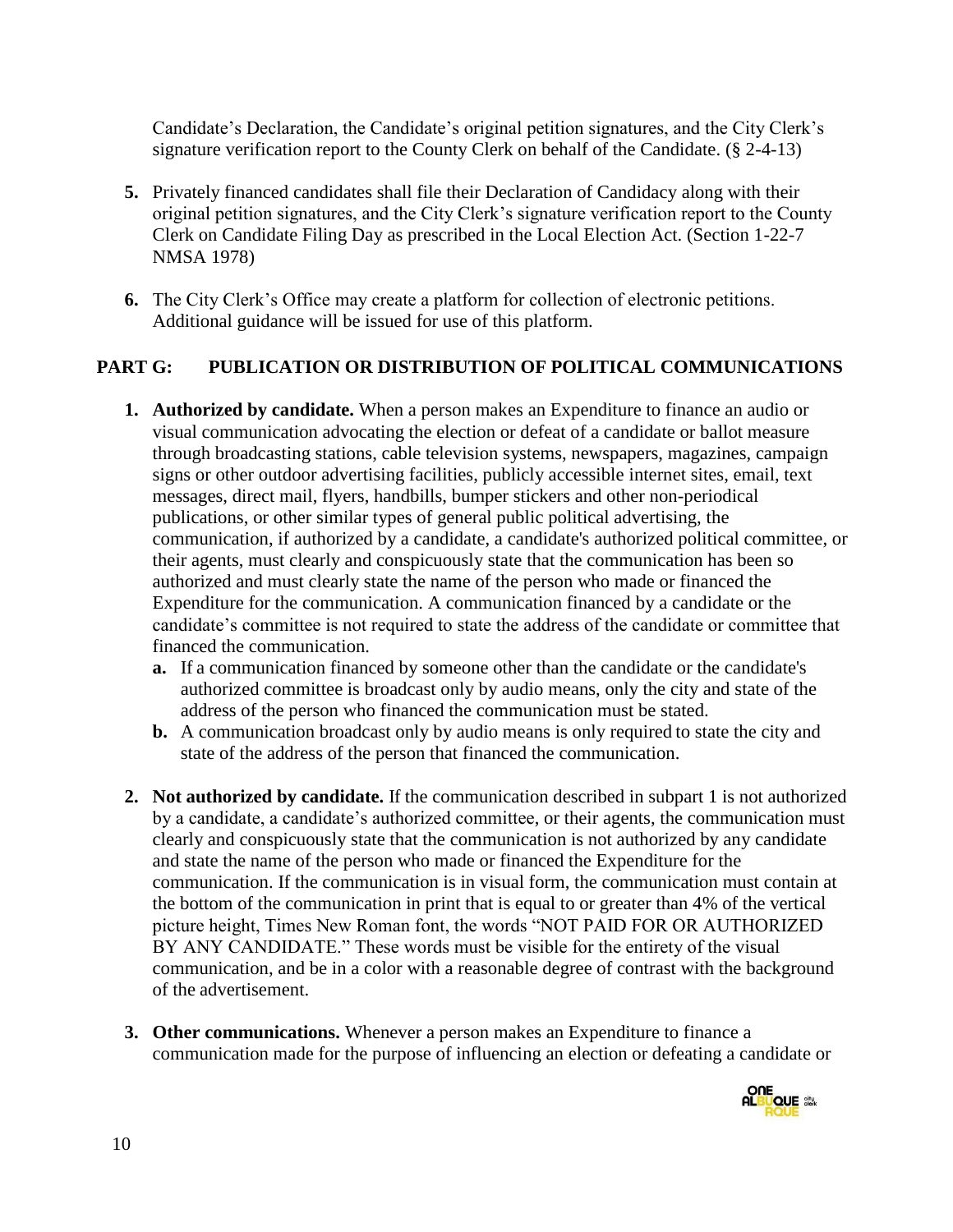Candidate's Declaration, the Candidate's original petition signatures, and the City Clerk's signature verification report to the County Clerk on behalf of the Candidate. (§ 2-4-13)

- **5.** Privately financed candidates shall file their Declaration of Candidacy along with their original petition signatures, and the City Clerk's signature verification report to the County Clerk on Candidate Filing Day as prescribed in the Local Election Act. (Section 1-22-7 NMSA 1978)
- **6.** The City Clerk's Office may create a platform for collection of electronic petitions. Additional guidance will be issued for use of this platform.

#### **PART G: PUBLICATION OR DISTRIBUTION OF POLITICAL COMMUNICATIONS**

- **1. Authorized by candidate.** When a person makes an Expenditure to finance an audio or visual communication advocating the election or defeat of a candidate or ballot measure through broadcasting stations, cable television systems, newspapers, magazines, campaign signs or other outdoor advertising facilities, publicly accessible internet sites, email, text messages, direct mail, flyers, handbills, bumper stickers and other non-periodical publications, or other similar types of general public political advertising, the communication, if authorized by a candidate, a candidate's authorized political committee, or their agents, must clearly and conspicuously state that the communication has been so authorized and must clearly state the name of the person who made or financed the Expenditure for the communication. A communication financed by a candidate or the candidate's committee is not required to state the address of the candidate or committee that financed the communication.
	- **a.** If a communication financed by someone other than the candidate or the candidate's authorized committee is broadcast only by audio means, only the city and state of the address of the person who financed the communication must be stated.
	- **b.** A communication broadcast only by audio means is only required to state the city and state of the address of the person that financed the communication.
- **2. Not authorized by candidate.** If the communication described in subpart 1 is not authorized by a candidate, a candidate's authorized committee, or their agents, the communication must clearly and conspicuously state that the communication is not authorized by any candidate and state the name of the person who made or financed the Expenditure for the communication. If the communication is in visual form, the communication must contain at the bottom of the communication in print that is equal to or greater than 4% of the vertical picture height, Times New Roman font, the words "NOT PAID FOR OR AUTHORIZED BY ANY CANDIDATE." These words must be visible for the entirety of the visual communication, and be in a color with a reasonable degree of contrast with the background of the advertisement.
- **3. Other communications.** Whenever a person makes an Expenditure to finance a communication made for the purpose of influencing an election or defeating a candidate or

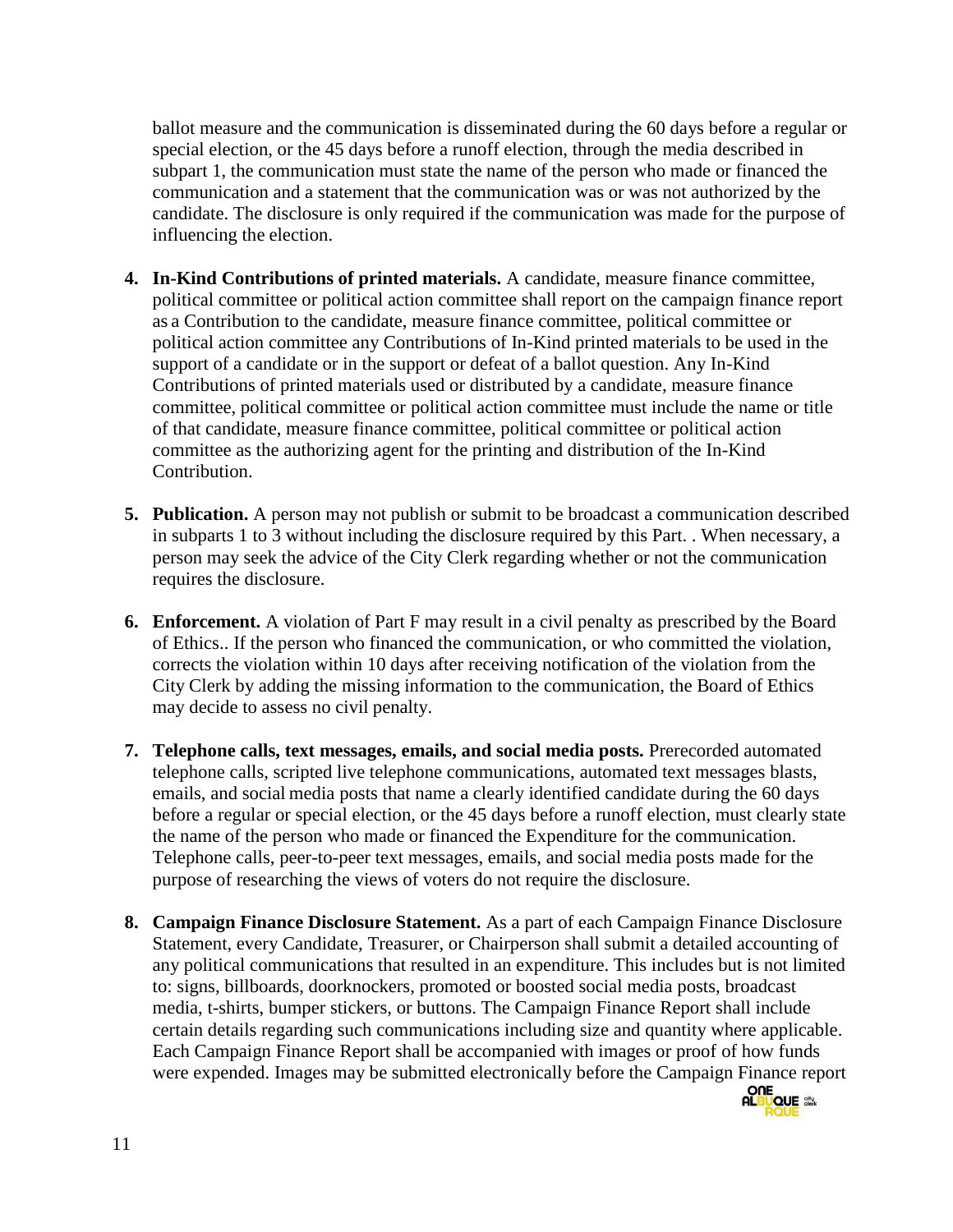ballot measure and the communication is disseminated during the 60 days before a regular or special election, or the 45 days before a runoff election, through the media described in subpart 1, the communication must state the name of the person who made or financed the communication and a statement that the communication was or was not authorized by the candidate. The disclosure is only required if the communication was made for the purpose of influencing the election.

- **4. In-Kind Contributions of printed materials.** A candidate, measure finance committee, political committee or political action committee shall report on the campaign finance report as a Contribution to the candidate, measure finance committee, political committee or political action committee any Contributions of In-Kind printed materials to be used in the support of a candidate or in the support or defeat of a ballot question. Any In-Kind Contributions of printed materials used or distributed by a candidate, measure finance committee, political committee or political action committee must include the name or title of that candidate, measure finance committee, political committee or political action committee as the authorizing agent for the printing and distribution of the In-Kind Contribution.
- **5. Publication.** A person may not publish or submit to be broadcast a communication described in subparts 1 to 3 without including the disclosure required by this Part. . When necessary, a person may seek the advice of the City Clerk regarding whether or not the communication requires the disclosure.
- **6. Enforcement.** A violation of Part F may result in a civil penalty as prescribed by the Board of Ethics.. If the person who financed the communication, or who committed the violation, corrects the violation within 10 days after receiving notification of the violation from the City Clerk by adding the missing information to the communication, the Board of Ethics may decide to assess no civil penalty.
- **7. Telephone calls, text messages, emails, and social media posts.** Prerecorded automated telephone calls, scripted live telephone communications, automated text messages blasts, emails, and social media posts that name a clearly identified candidate during the 60 days before a regular or special election, or the 45 days before a runoff election, must clearly state the name of the person who made or financed the Expenditure for the communication. Telephone calls, peer-to-peer text messages, emails, and social media posts made for the purpose of researching the views of voters do not require the disclosure.
- **8. Campaign Finance Disclosure Statement.** As a part of each Campaign Finance Disclosure Statement, every Candidate, Treasurer, or Chairperson shall submit a detailed accounting of any political communications that resulted in an expenditure. This includes but is not limited to: signs, billboards, doorknockers, promoted or boosted social media posts, broadcast media, t-shirts, bumper stickers, or buttons. The Campaign Finance Report shall include certain details regarding such communications including size and quantity where applicable. Each Campaign Finance Report shall be accompanied with images or proof of how funds were expended. Images may be submitted electronically before the Campaign Finance report

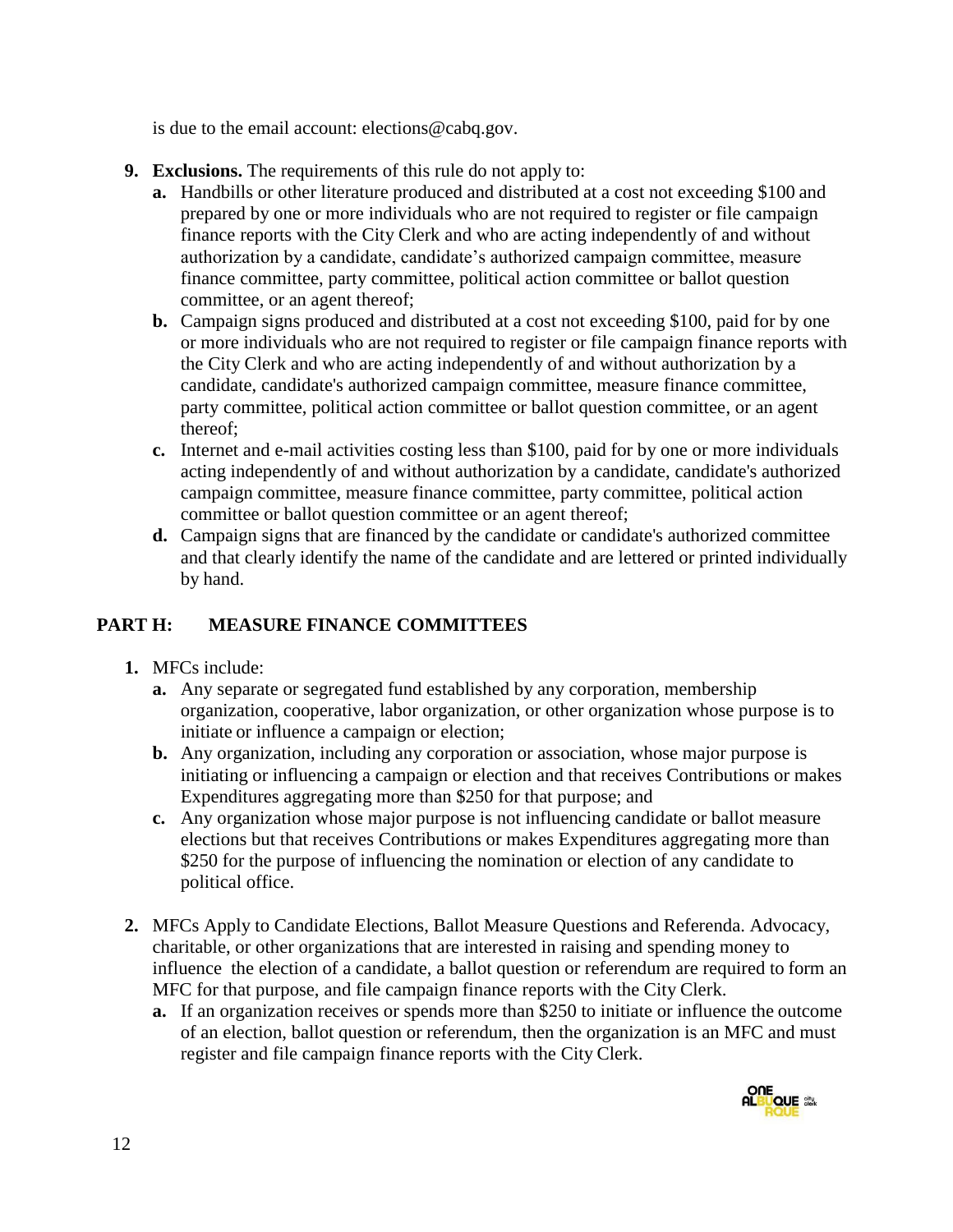is due to the email account: elections@cabq.gov.

- **9. Exclusions.** The requirements of this rule do not apply to:
	- **a.** Handbills or other literature produced and distributed at a cost not exceeding \$100 and prepared by one or more individuals who are not required to register or file campaign finance reports with the City Clerk and who are acting independently of and without authorization by a candidate, candidate's authorized campaign committee, measure finance committee, party committee, political action committee or ballot question committee, or an agent thereof;
	- **b.** Campaign signs produced and distributed at a cost not exceeding \$100, paid for by one or more individuals who are not required to register or file campaign finance reports with the City Clerk and who are acting independently of and without authorization by a candidate, candidate's authorized campaign committee, measure finance committee, party committee, political action committee or ballot question committee, or an agent thereof;
	- **c.** Internet and e-mail activities costing less than \$100, paid for by one or more individuals acting independently of and without authorization by a candidate, candidate's authorized campaign committee, measure finance committee, party committee, political action committee or ballot question committee or an agent thereof;
	- **d.** Campaign signs that are financed by the candidate or candidate's authorized committee and that clearly identify the name of the candidate and are lettered or printed individually by hand.

# **PART H: MEASURE FINANCE COMMITTEES**

- **1.** MFCs include:
	- **a.** Any separate or segregated fund established by any corporation, membership organization, cooperative, labor organization, or other organization whose purpose is to initiate or influence a campaign or election;
	- **b.** Any organization, including any corporation or association, whose major purpose is initiating or influencing a campaign or election and that receives Contributions or makes Expenditures aggregating more than \$250 for that purpose; and
	- **c.** Any organization whose major purpose is not influencing candidate or ballot measure elections but that receives Contributions or makes Expenditures aggregating more than \$250 for the purpose of influencing the nomination or election of any candidate to political office.
- **2.** MFCs Apply to Candidate Elections, Ballot Measure Questions and Referenda. Advocacy, charitable, or other organizations that are interested in raising and spending money to influence the election of a candidate, a ballot question or referendum are required to form an MFC for that purpose, and file campaign finance reports with the City Clerk.
	- **a.** If an organization receives or spends more than \$250 to initiate or influence the outcome of an election, ballot question or referendum, then the organization is an MFC and must register and file campaign finance reports with the City Clerk.

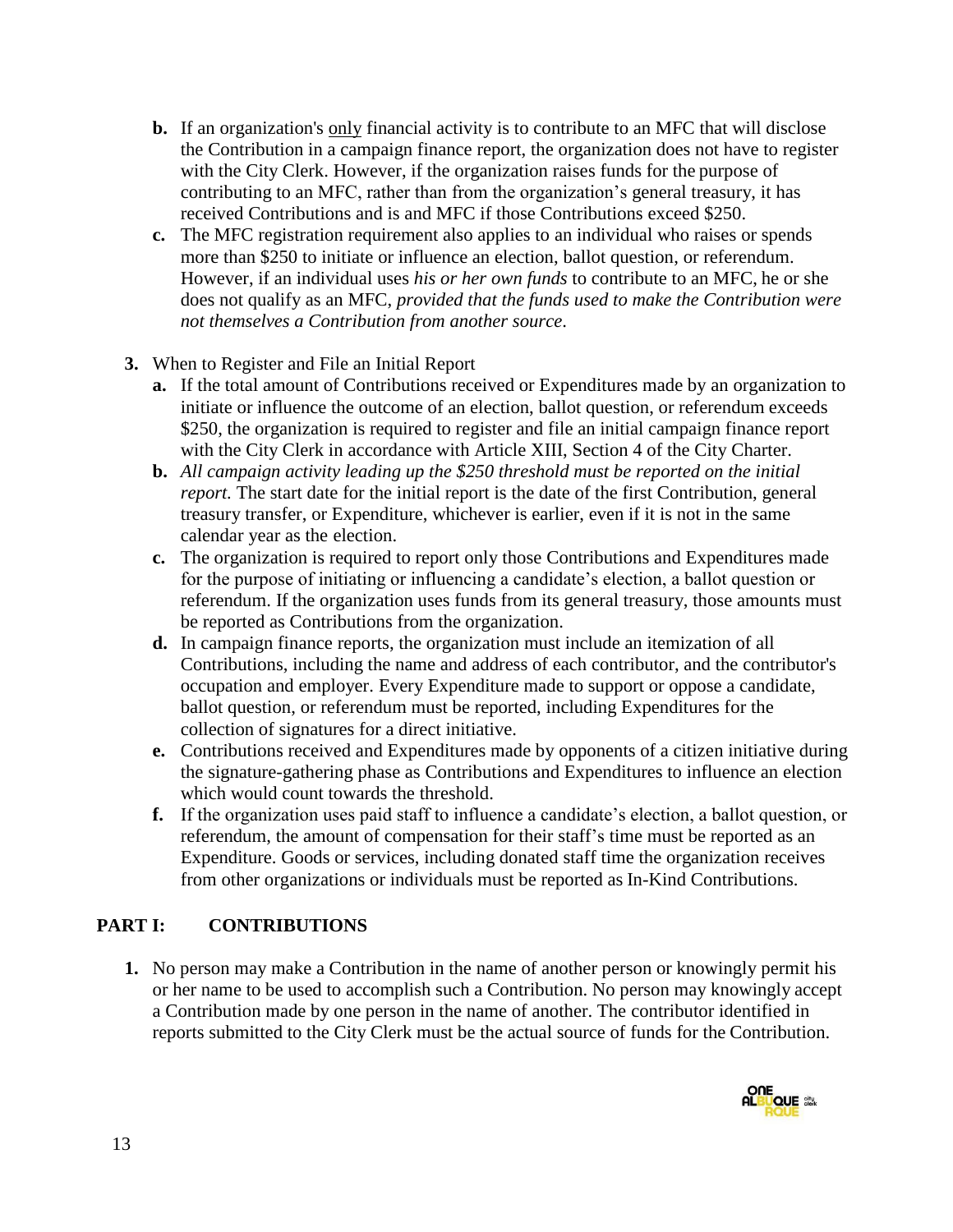- **b.** If an organization's only financial activity is to contribute to an MFC that will disclose the Contribution in a campaign finance report, the organization does not have to register with the City Clerk. However, if the organization raises funds for the purpose of contributing to an MFC, rather than from the organization's general treasury, it has received Contributions and is and MFC if those Contributions exceed \$250.
- **c.** The MFC registration requirement also applies to an individual who raises or spends more than \$250 to initiate or influence an election, ballot question, or referendum. However, if an individual uses *his or her own funds* to contribute to an MFC, he or she does not qualify as an MFC, *provided that the funds used to make the Contribution were not themselves a Contribution from another source*.
- **3.** When to Register and File an Initial Report
	- **a.** If the total amount of Contributions received or Expenditures made by an organization to initiate or influence the outcome of an election, ballot question, or referendum exceeds \$250, the organization is required to register and file an initial campaign finance report with the City Clerk in accordance with Article XIII, Section 4 of the City Charter.
	- **b.** *All campaign activity leading up the \$250 threshold must be reported on the initial report.* The start date for the initial report is the date of the first Contribution, general treasury transfer, or Expenditure, whichever is earlier, even if it is not in the same calendar year as the election.
	- **c.** The organization is required to report only those Contributions and Expenditures made for the purpose of initiating or influencing a candidate's election, a ballot question or referendum. If the organization uses funds from its general treasury, those amounts must be reported as Contributions from the organization.
	- **d.** In campaign finance reports, the organization must include an itemization of all Contributions, including the name and address of each contributor, and the contributor's occupation and employer. Every Expenditure made to support or oppose a candidate, ballot question, or referendum must be reported, including Expenditures for the collection of signatures for a direct initiative.
	- **e.** Contributions received and Expenditures made by opponents of a citizen initiative during the signature-gathering phase as Contributions and Expenditures to influence an election which would count towards the threshold.
	- **f.** If the organization uses paid staff to influence a candidate's election, a ballot question, or referendum, the amount of compensation for their staff's time must be reported as an Expenditure. Goods or services, including donated staff time the organization receives from other organizations or individuals must be reported as In-Kind Contributions.

# **PART I: CONTRIBUTIONS**

**1.** No person may make a Contribution in the name of another person or knowingly permit his or her name to be used to accomplish such a Contribution. No person may knowingly accept a Contribution made by one person in the name of another. The contributor identified in reports submitted to the City Clerk must be the actual source of funds for the Contribution.

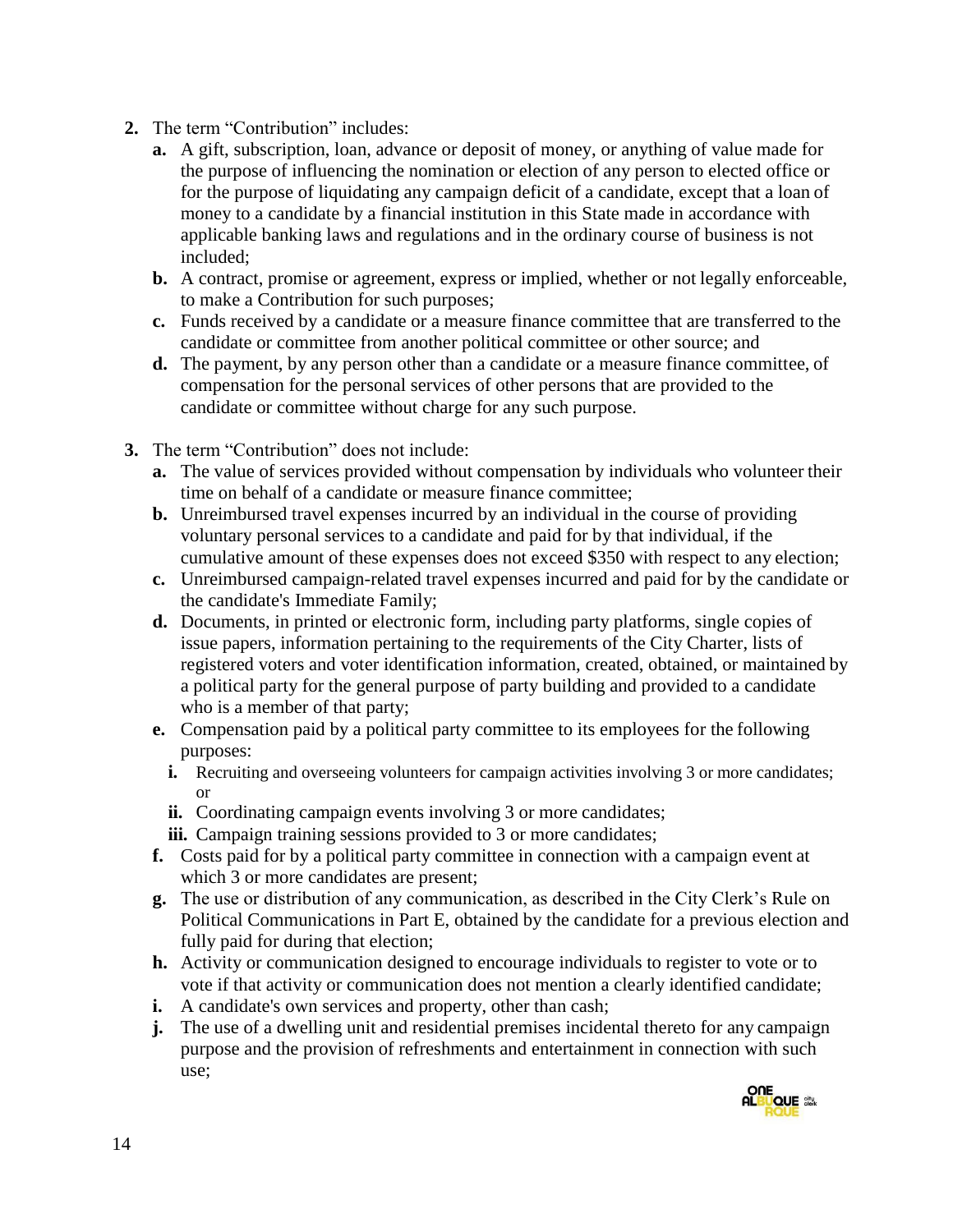- **2.** The term "Contribution" includes:
	- **a.** A gift, subscription, loan, advance or deposit of money, or anything of value made for the purpose of influencing the nomination or election of any person to elected office or for the purpose of liquidating any campaign deficit of a candidate, except that a loan of money to a candidate by a financial institution in this State made in accordance with applicable banking laws and regulations and in the ordinary course of business is not included;
	- **b.** A contract, promise or agreement, express or implied, whether or not legally enforceable, to make a Contribution for such purposes;
	- **c.** Funds received by a candidate or a measure finance committee that are transferred to the candidate or committee from another political committee or other source; and
	- **d.** The payment, by any person other than a candidate or a measure finance committee, of compensation for the personal services of other persons that are provided to the candidate or committee without charge for any such purpose.
- **3.** The term "Contribution" does not include:
	- **a.** The value of services provided without compensation by individuals who volunteer their time on behalf of a candidate or measure finance committee;
	- **b.** Unreimbursed travel expenses incurred by an individual in the course of providing voluntary personal services to a candidate and paid for by that individual, if the cumulative amount of these expenses does not exceed \$350 with respect to any election;
	- **c.** Unreimbursed campaign-related travel expenses incurred and paid for by the candidate or the candidate's Immediate Family;
	- **d.** Documents, in printed or electronic form, including party platforms, single copies of issue papers, information pertaining to the requirements of the City Charter, lists of registered voters and voter identification information, created, obtained, or maintained by a political party for the general purpose of party building and provided to a candidate who is a member of that party;
	- **e.** Compensation paid by a political party committee to its employees for the following purposes:
		- **i.** Recruiting and overseeing volunteers for campaign activities involving 3 or more candidates; or
		- **ii.** Coordinating campaign events involving 3 or more candidates;
		- **iii.** Campaign training sessions provided to 3 or more candidates;
	- **f.** Costs paid for by a political party committee in connection with a campaign event at which 3 or more candidates are present;
	- **g.** The use or distribution of any communication, as described in the City Clerk's Rule on Political Communications in Part E, obtained by the candidate for a previous election and fully paid for during that election;
	- **h.** Activity or communication designed to encourage individuals to register to vote or to vote if that activity or communication does not mention a clearly identified candidate;
	- **i.** A candidate's own services and property, other than cash;
	- **j.** The use of a dwelling unit and residential premises incidental thereto for any campaign purpose and the provision of refreshments and entertainment in connection with such use;

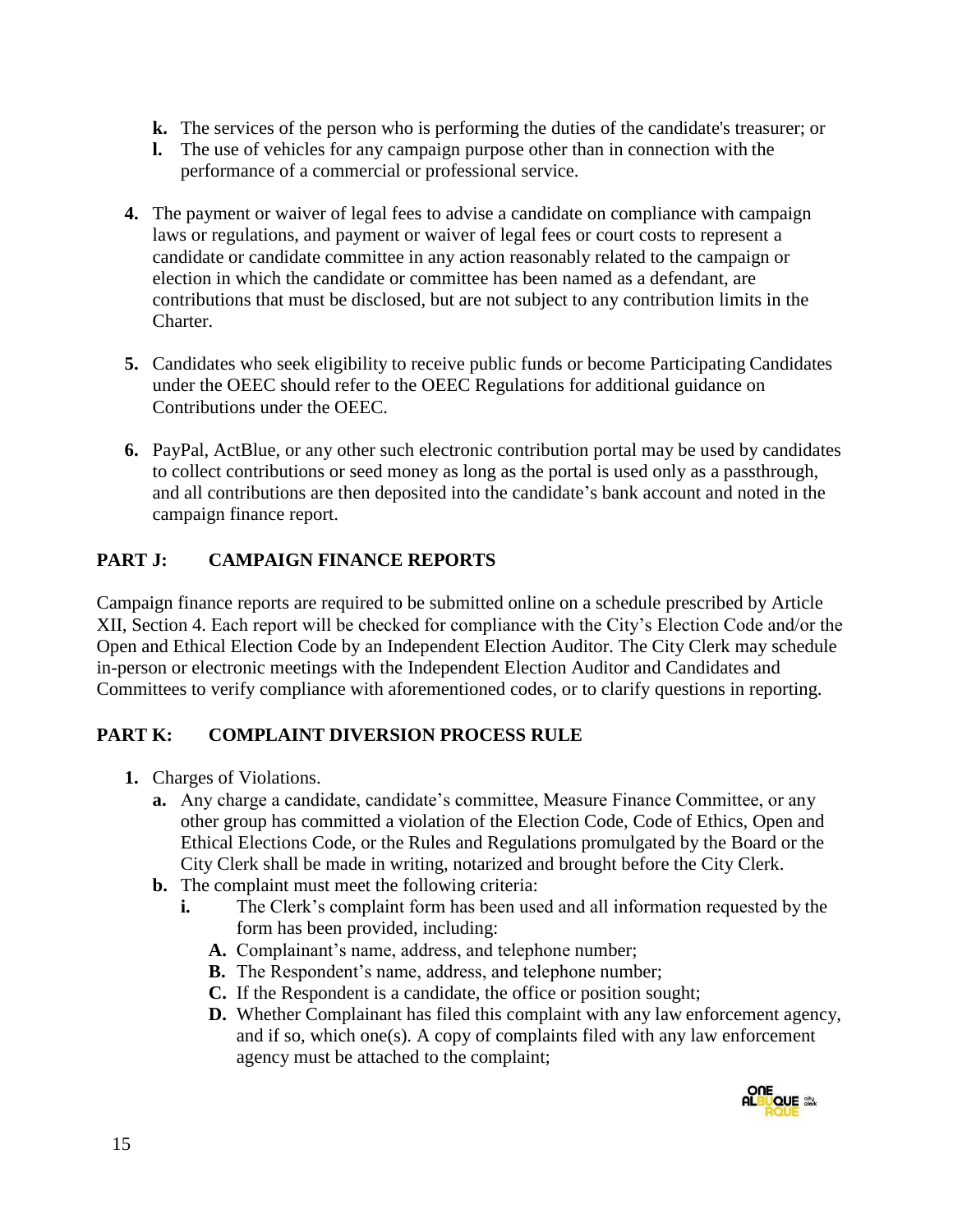- **k.** The services of the person who is performing the duties of the candidate's treasurer; or
- **l.** The use of vehicles for any campaign purpose other than in connection with the performance of a commercial or professional service.
- **4.** The payment or waiver of legal fees to advise a candidate on compliance with campaign laws or regulations, and payment or waiver of legal fees or court costs to represent a candidate or candidate committee in any action reasonably related to the campaign or election in which the candidate or committee has been named as a defendant, are contributions that must be disclosed, but are not subject to any contribution limits in the Charter.
- **5.** Candidates who seek eligibility to receive public funds or become Participating Candidates under the OEEC should refer to the OEEC Regulations for additional guidance on Contributions under the OEEC.
- **6.** PayPal, ActBlue, or any other such electronic contribution portal may be used by candidates to collect contributions or seed money as long as the portal is used only as a passthrough, and all contributions are then deposited into the candidate's bank account and noted in the campaign finance report.

# **PART J: CAMPAIGN FINANCE REPORTS**

Campaign finance reports are required to be submitted online on a schedule prescribed by Article XII, Section 4. Each report will be checked for compliance with the City's Election Code and/or the Open and Ethical Election Code by an Independent Election Auditor. The City Clerk may schedule in-person or electronic meetings with the Independent Election Auditor and Candidates and Committees to verify compliance with aforementioned codes, or to clarify questions in reporting.

# **PART K: COMPLAINT DIVERSION PROCESS RULE**

- **1.** Charges of Violations.
	- **a.** Any charge a candidate, candidate's committee, Measure Finance Committee, or any other group has committed a violation of the Election Code, Code of Ethics, Open and Ethical Elections Code, or the Rules and Regulations promulgated by the Board or the City Clerk shall be made in writing, notarized and brought before the City Clerk.
	- **b.** The complaint must meet the following criteria:
		- **i.** The Clerk's complaint form has been used and all information requested by the form has been provided, including:
			- **A.** Complainant's name, address, and telephone number;
			- **B.** The Respondent's name, address, and telephone number;
			- **C.** If the Respondent is a candidate, the office or position sought;
			- **D.** Whether Complainant has filed this complaint with any law enforcement agency, and if so, which one(s). A copy of complaints filed with any law enforcement agency must be attached to the complaint;

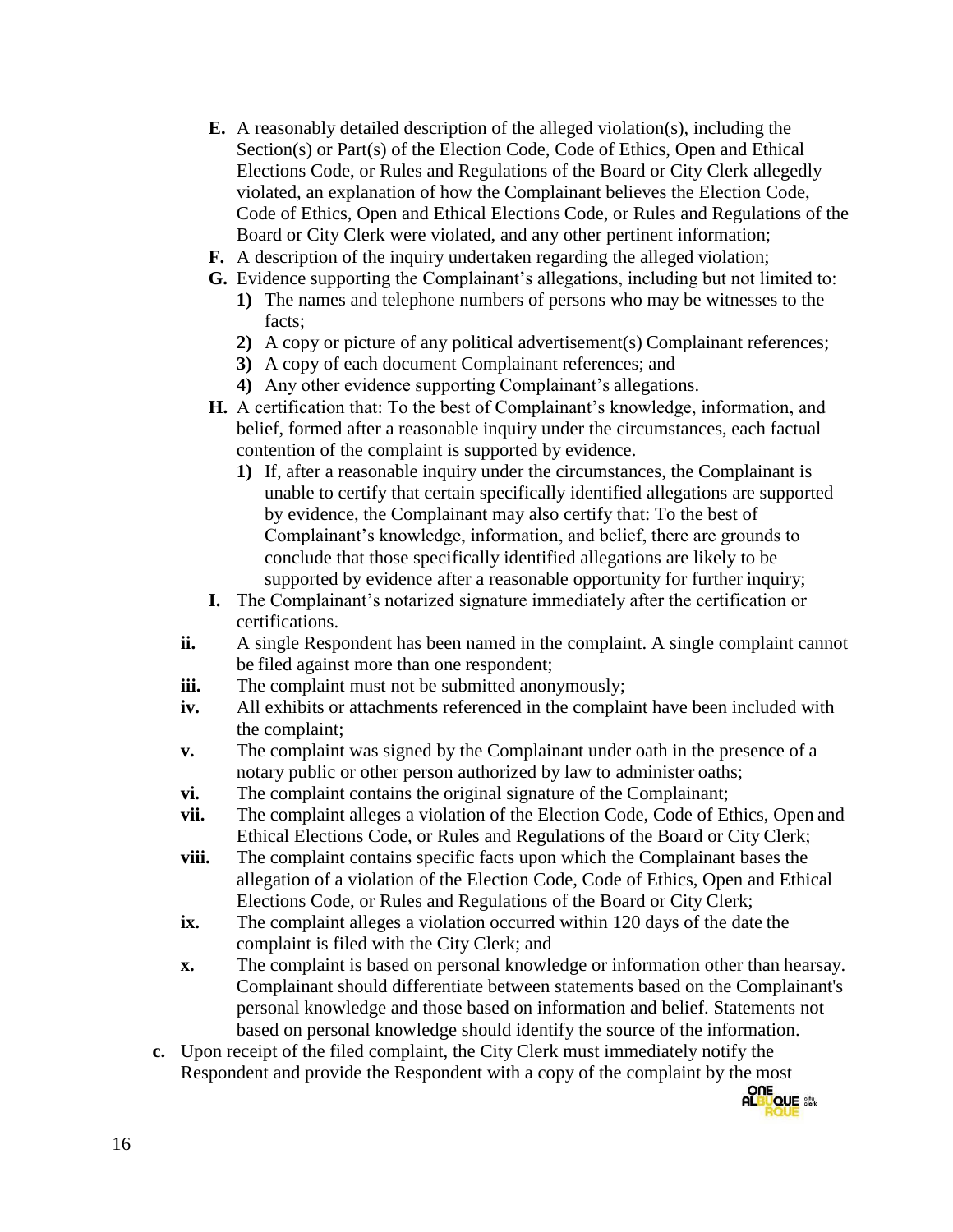- **E.** A reasonably detailed description of the alleged violation(s), including the Section(s) or Part(s) of the Election Code, Code of Ethics, Open and Ethical Elections Code, or Rules and Regulations of the Board or City Clerk allegedly violated, an explanation of how the Complainant believes the Election Code, Code of Ethics, Open and Ethical Elections Code, or Rules and Regulations of the Board or City Clerk were violated, and any other pertinent information;
- **F.** A description of the inquiry undertaken regarding the alleged violation;
- **G.** Evidence supporting the Complainant's allegations, including but not limited to:
	- **1)** The names and telephone numbers of persons who may be witnesses to the facts;
	- **2)** A copy or picture of any political advertisement(s) Complainant references;
	- **3)** A copy of each document Complainant references; and
	- **4)** Any other evidence supporting Complainant's allegations.
- **H.** A certification that: To the best of Complainant's knowledge, information, and belief, formed after a reasonable inquiry under the circumstances, each factual contention of the complaint is supported by evidence.
	- **1)** If, after a reasonable inquiry under the circumstances, the Complainant is unable to certify that certain specifically identified allegations are supported by evidence, the Complainant may also certify that: To the best of Complainant's knowledge, information, and belief, there are grounds to conclude that those specifically identified allegations are likely to be supported by evidence after a reasonable opportunity for further inquiry;
- **I.** The Complainant's notarized signature immediately after the certification or certifications.
- **ii.** A single Respondent has been named in the complaint. A single complaint cannot be filed against more than one respondent;
- **iii.** The complaint must not be submitted anonymously;
- **iv.** All exhibits or attachments referenced in the complaint have been included with the complaint;
- **v.** The complaint was signed by the Complainant under oath in the presence of a notary public or other person authorized by law to administer oaths;
- **vi.** The complaint contains the original signature of the Complainant;
- **vii.** The complaint alleges a violation of the Election Code, Code of Ethics, Open and Ethical Elections Code, or Rules and Regulations of the Board or City Clerk;
- **viii.** The complaint contains specific facts upon which the Complainant bases the allegation of a violation of the Election Code, Code of Ethics, Open and Ethical Elections Code, or Rules and Regulations of the Board or City Clerk;
- **ix.** The complaint alleges a violation occurred within 120 days of the date the complaint is filed with the City Clerk; and
- **x.** The complaint is based on personal knowledge or information other than hearsay. Complainant should differentiate between statements based on the Complainant's personal knowledge and those based on information and belief. Statements not based on personal knowledge should identify the source of the information.
- **c.** Upon receipt of the filed complaint, the City Clerk must immediately notify the Respondent and provide the Respondent with a copy of the complaint by the most

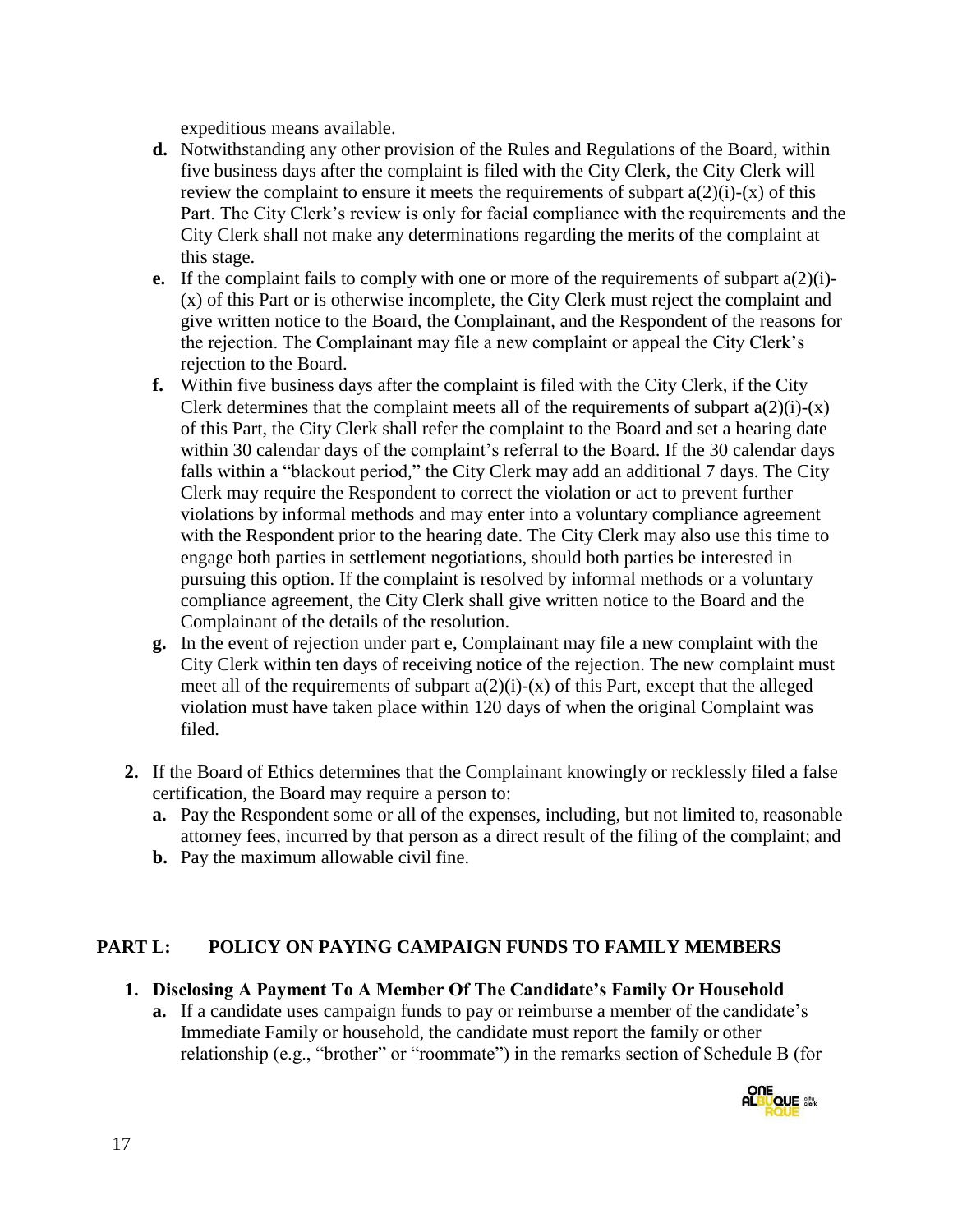expeditious means available.

- **d.** Notwithstanding any other provision of the Rules and Regulations of the Board, within five business days after the complaint is filed with the City Clerk, the City Clerk will review the complaint to ensure it meets the requirements of subpart  $a(2)(i)-(x)$  of this Part. The City Clerk's review is only for facial compliance with the requirements and the City Clerk shall not make any determinations regarding the merits of the complaint at this stage.
- **e.** If the complaint fails to comply with one or more of the requirements of subpart a(2)(i)- (x) of this Part or is otherwise incomplete, the City Clerk must reject the complaint and give written notice to the Board, the Complainant, and the Respondent of the reasons for the rejection. The Complainant may file a new complaint or appeal the City Clerk's rejection to the Board.
- **f.** Within five business days after the complaint is filed with the City Clerk, if the City Clerk determines that the complaint meets all of the requirements of subpart  $a(2)(i)-(x)$ of this Part, the City Clerk shall refer the complaint to the Board and set a hearing date within 30 calendar days of the complaint's referral to the Board. If the 30 calendar days falls within a "blackout period," the City Clerk may add an additional 7 days. The City Clerk may require the Respondent to correct the violation or act to prevent further violations by informal methods and may enter into a voluntary compliance agreement with the Respondent prior to the hearing date. The City Clerk may also use this time to engage both parties in settlement negotiations, should both parties be interested in pursuing this option. If the complaint is resolved by informal methods or a voluntary compliance agreement, the City Clerk shall give written notice to the Board and the Complainant of the details of the resolution.
- **g.** In the event of rejection under part e, Complainant may file a new complaint with the City Clerk within ten days of receiving notice of the rejection. The new complaint must meet all of the requirements of subpart  $a(2)(i)-(x)$  of this Part, except that the alleged violation must have taken place within 120 days of when the original Complaint was filed.
- **2.** If the Board of Ethics determines that the Complainant knowingly or recklessly filed a false certification, the Board may require a person to:
	- **a.** Pay the Respondent some or all of the expenses, including, but not limited to, reasonable attorney fees, incurred by that person as a direct result of the filing of the complaint; and
	- **b.** Pay the maximum allowable civil fine.

#### **PART L: POLICY ON PAYING CAMPAIGN FUNDS TO FAMILY MEMBERS**

#### **1. Disclosing A Payment To A Member Of The Candidate's Family Or Household**

**a.** If a candidate uses campaign funds to pay or reimburse a member of the candidate's Immediate Family or household, the candidate must report the family or other relationship (e.g., "brother" or "roommate") in the remarks section of Schedule B (for

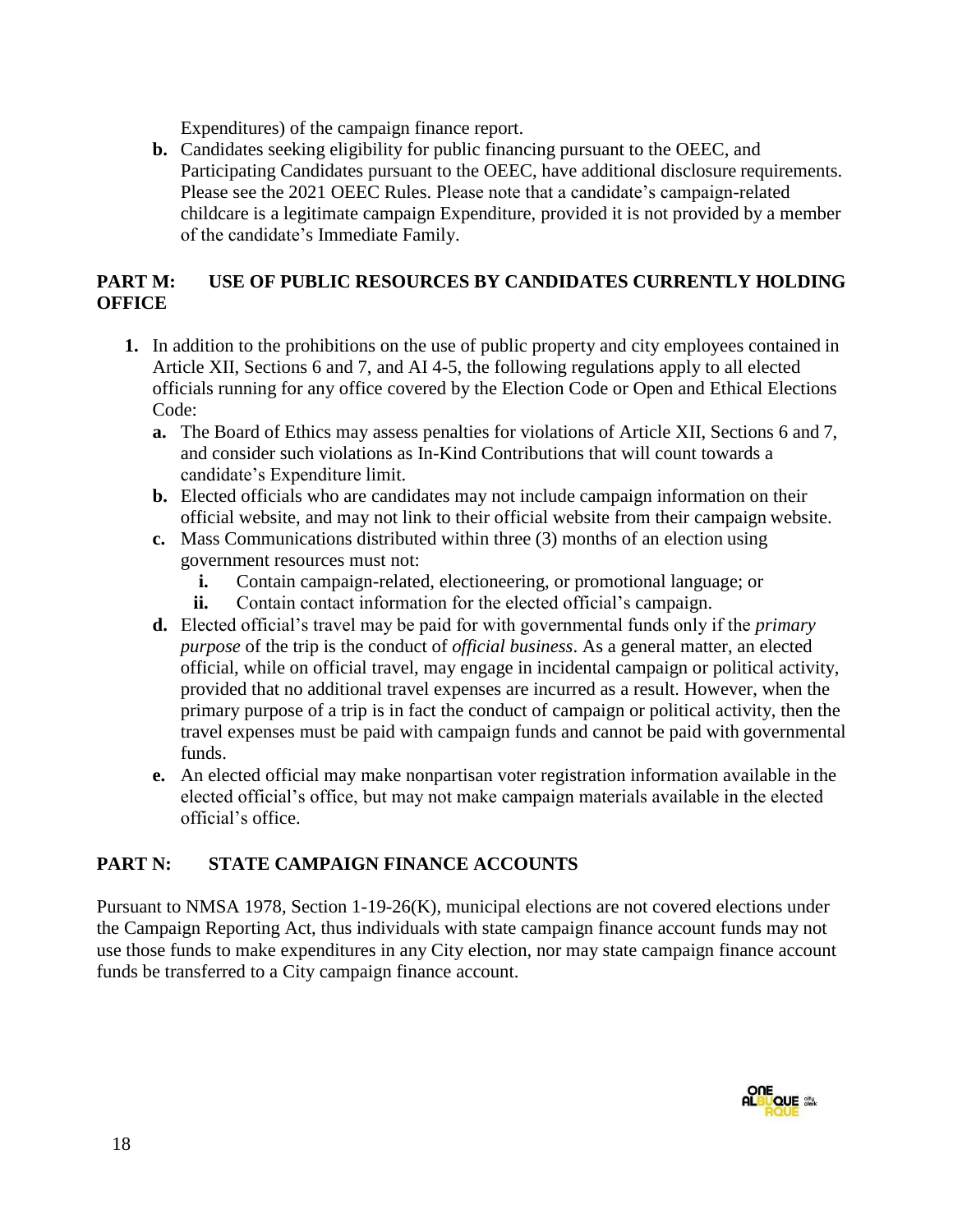Expenditures) of the campaign finance report.

**b.** Candidates seeking eligibility for public financing pursuant to the OEEC, and Participating Candidates pursuant to the OEEC, have additional disclosure requirements. Please see the 2021 OEEC Rules. Please note that a candidate's campaign-related childcare is a legitimate campaign Expenditure, provided it is not provided by a member of the candidate's Immediate Family.

# **PART M: USE OF PUBLIC RESOURCES BY CANDIDATES CURRENTLY HOLDING OFFICE**

- **1.** In addition to the prohibitions on the use of public property and city employees contained in Article XII, Sections 6 and 7, and AI 4-5, the following regulations apply to all elected officials running for any office covered by the Election Code or Open and Ethical Elections Code:
	- **a.** The Board of Ethics may assess penalties for violations of Article XII, Sections 6 and 7, and consider such violations as In-Kind Contributions that will count towards a candidate's Expenditure limit.
	- **b.** Elected officials who are candidates may not include campaign information on their official website, and may not link to their official website from their campaign website.
	- **c.** Mass Communications distributed within three (3) months of an election using government resources must not:
		- **i.** Contain campaign-related, electioneering, or promotional language; or
		- **ii.** Contain contact information for the elected official's campaign.
	- **d.** Elected official's travel may be paid for with governmental funds only if the *primary purpose* of the trip is the conduct of *official business*. As a general matter, an elected official, while on official travel, may engage in incidental campaign or political activity, provided that no additional travel expenses are incurred as a result. However, when the primary purpose of a trip is in fact the conduct of campaign or political activity, then the travel expenses must be paid with campaign funds and cannot be paid with governmental funds.
	- **e.** An elected official may make nonpartisan voter registration information available in the elected official's office, but may not make campaign materials available in the elected official's office.

# **PART N: STATE CAMPAIGN FINANCE ACCOUNTS**

Pursuant to NMSA 1978, Section 1-19-26(K), municipal elections are not covered elections under the Campaign Reporting Act, thus individuals with state campaign finance account funds may not use those funds to make expenditures in any City election, nor may state campaign finance account funds be transferred to a City campaign finance account.